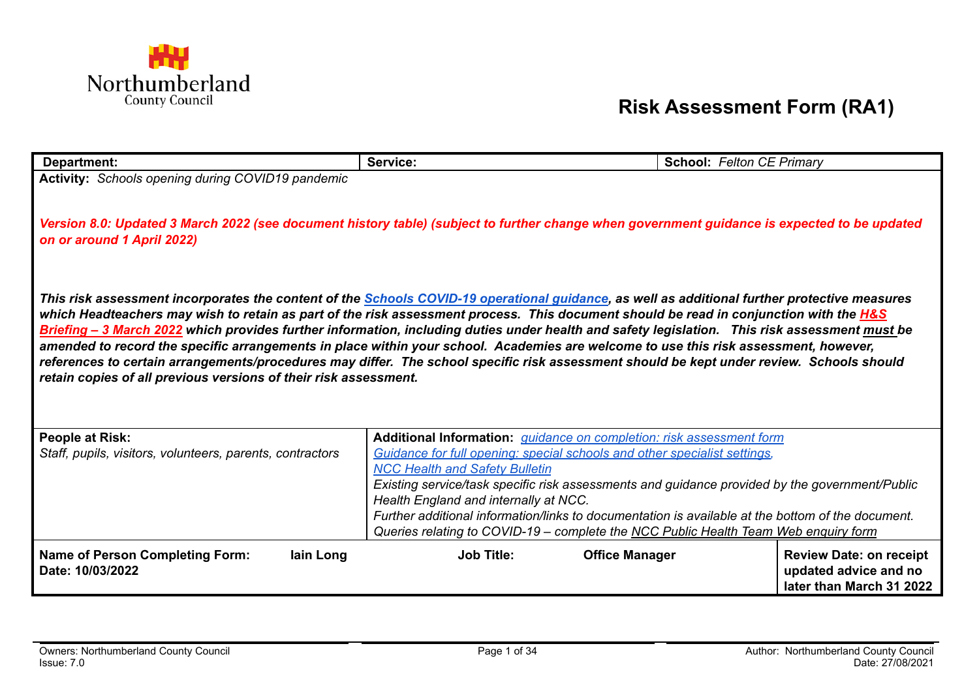

## **Risk Assessment Form (RA1)**

| Department:                                                                                                                                                                                                   | Service:                                                                                          | <b>School: Felton CE Primary</b> |  |  |  |
|---------------------------------------------------------------------------------------------------------------------------------------------------------------------------------------------------------------|---------------------------------------------------------------------------------------------------|----------------------------------|--|--|--|
| Activity: Schools opening during COVID19 pandemic                                                                                                                                                             |                                                                                                   |                                  |  |  |  |
|                                                                                                                                                                                                               |                                                                                                   |                                  |  |  |  |
| Version 8.0: Updated 3 March 2022 (see document history table) (subject to further change when government guidance is expected to be updated                                                                  |                                                                                                   |                                  |  |  |  |
| on or around 1 April 2022)                                                                                                                                                                                    |                                                                                                   |                                  |  |  |  |
|                                                                                                                                                                                                               |                                                                                                   |                                  |  |  |  |
|                                                                                                                                                                                                               |                                                                                                   |                                  |  |  |  |
| This risk assessment incorporates the content of the <b>Schools COVID-19 operational guidance</b> , as well as additional further protective measures                                                         |                                                                                                   |                                  |  |  |  |
| which Headteachers may wish to retain as part of the risk assessment process. This document should be read in conjunction with the <b>H&amp;S</b>                                                             |                                                                                                   |                                  |  |  |  |
| Briefing - 3 March 2022 which provides further information, including duties under health and safety legislation. This risk assessment must be                                                                |                                                                                                   |                                  |  |  |  |
| amended to record the specific arrangements in place within your school. Academies are welcome to use this risk assessment, however,                                                                          |                                                                                                   |                                  |  |  |  |
| references to certain arrangements/procedures may differ. The school specific risk assessment should be kept under review. Schools should<br>retain copies of all previous versions of their risk assessment. |                                                                                                   |                                  |  |  |  |
|                                                                                                                                                                                                               |                                                                                                   |                                  |  |  |  |
|                                                                                                                                                                                                               |                                                                                                   |                                  |  |  |  |
| <b>People at Risk:</b>                                                                                                                                                                                        | Additional Information: <i>guidance on completion: risk assessment form</i>                       |                                  |  |  |  |
| Staff, pupils, visitors, volunteers, parents, contractors                                                                                                                                                     | Guidance for full opening: special schools and other specialist settings,                         |                                  |  |  |  |
|                                                                                                                                                                                                               | <b>NCC Health and Safety Bulletin</b>                                                             |                                  |  |  |  |
|                                                                                                                                                                                                               | Existing service/task specific risk assessments and guidance provided by the government/Public    |                                  |  |  |  |
|                                                                                                                                                                                                               | Health England and internally at NCC.                                                             |                                  |  |  |  |
|                                                                                                                                                                                                               | Further additional information/links to documentation is available at the bottom of the document. |                                  |  |  |  |
|                                                                                                                                                                                                               | Queries relating to COVID-19 - complete the NCC Public Health Team Web enquiry form               |                                  |  |  |  |
| <b>Name of Person Completing Form:</b><br>lain Long                                                                                                                                                           | <b>Job Title:</b><br><b>Office Manager</b>                                                        | <b>Review Date: on receipt</b>   |  |  |  |
| Date: 10/03/2022                                                                                                                                                                                              |                                                                                                   | updated advice and no            |  |  |  |
|                                                                                                                                                                                                               |                                                                                                   | later than March 31 2022         |  |  |  |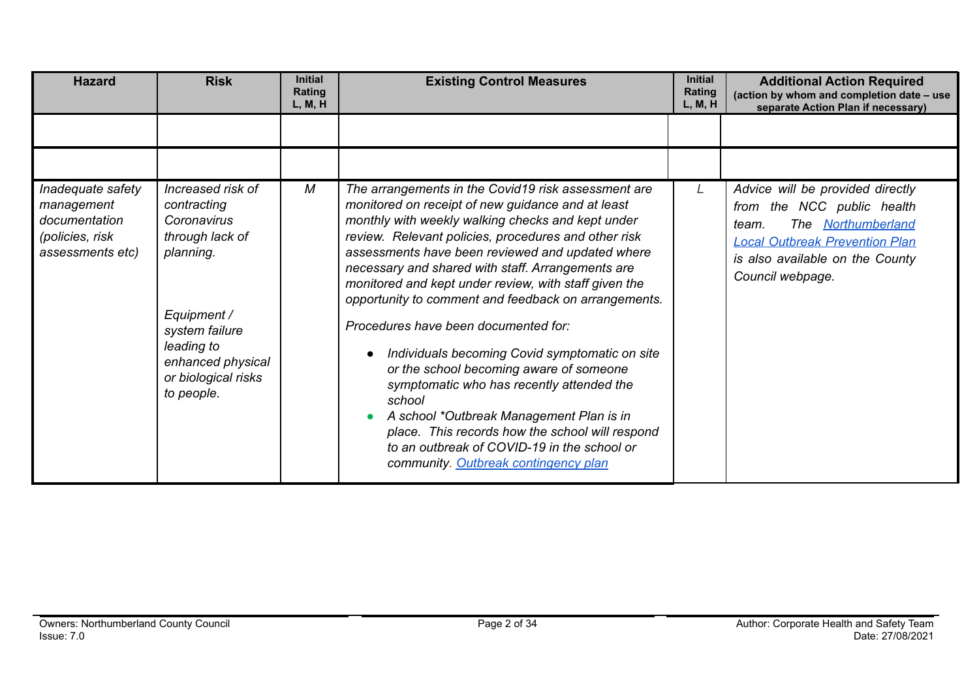| <b>Hazard</b>                                                                           | <b>Risk</b>                                                                                                                                                                              | <b>Initial</b><br><b>Rating</b><br>L, M, H | <b>Existing Control Measures</b>                                                                                                                                                                                                                                                                                                                                                                                                                                                                                                                                                                                                                                                                                                                                                                                                  | <b>Initial</b><br><b>Rating</b><br>L, M, H | <b>Additional Action Required</b><br>(action by whom and completion date - use<br>separate Action Plan if necessary)                                                                             |
|-----------------------------------------------------------------------------------------|------------------------------------------------------------------------------------------------------------------------------------------------------------------------------------------|--------------------------------------------|-----------------------------------------------------------------------------------------------------------------------------------------------------------------------------------------------------------------------------------------------------------------------------------------------------------------------------------------------------------------------------------------------------------------------------------------------------------------------------------------------------------------------------------------------------------------------------------------------------------------------------------------------------------------------------------------------------------------------------------------------------------------------------------------------------------------------------------|--------------------------------------------|--------------------------------------------------------------------------------------------------------------------------------------------------------------------------------------------------|
|                                                                                         |                                                                                                                                                                                          |                                            |                                                                                                                                                                                                                                                                                                                                                                                                                                                                                                                                                                                                                                                                                                                                                                                                                                   |                                            |                                                                                                                                                                                                  |
|                                                                                         |                                                                                                                                                                                          |                                            |                                                                                                                                                                                                                                                                                                                                                                                                                                                                                                                                                                                                                                                                                                                                                                                                                                   |                                            |                                                                                                                                                                                                  |
| Inadequate safety<br>management<br>documentation<br>(policies, risk<br>assessments etc) | Increased risk of<br>contracting<br>Coronavirus<br>through lack of<br>planning.<br>Equipment /<br>system failure<br>leading to<br>enhanced physical<br>or biological risks<br>to people. | M                                          | The arrangements in the Covid19 risk assessment are<br>monitored on receipt of new guidance and at least<br>monthly with weekly walking checks and kept under<br>review. Relevant policies, procedures and other risk<br>assessments have been reviewed and updated where<br>necessary and shared with staff. Arrangements are<br>monitored and kept under review, with staff given the<br>opportunity to comment and feedback on arrangements.<br>Procedures have been documented for:<br>Individuals becoming Covid symptomatic on site<br>or the school becoming aware of someone<br>symptomatic who has recently attended the<br>school<br>A school *Outbreak Management Plan is in<br>place. This records how the school will respond<br>to an outbreak of COVID-19 in the school or<br>community. Outbreak contingency plan | L.                                         | Advice will be provided directly<br>the NCC public health<br>from<br>The Northumberland<br>team.<br><b>Local Outbreak Prevention Plan</b><br>is also available on the County<br>Council webpage. |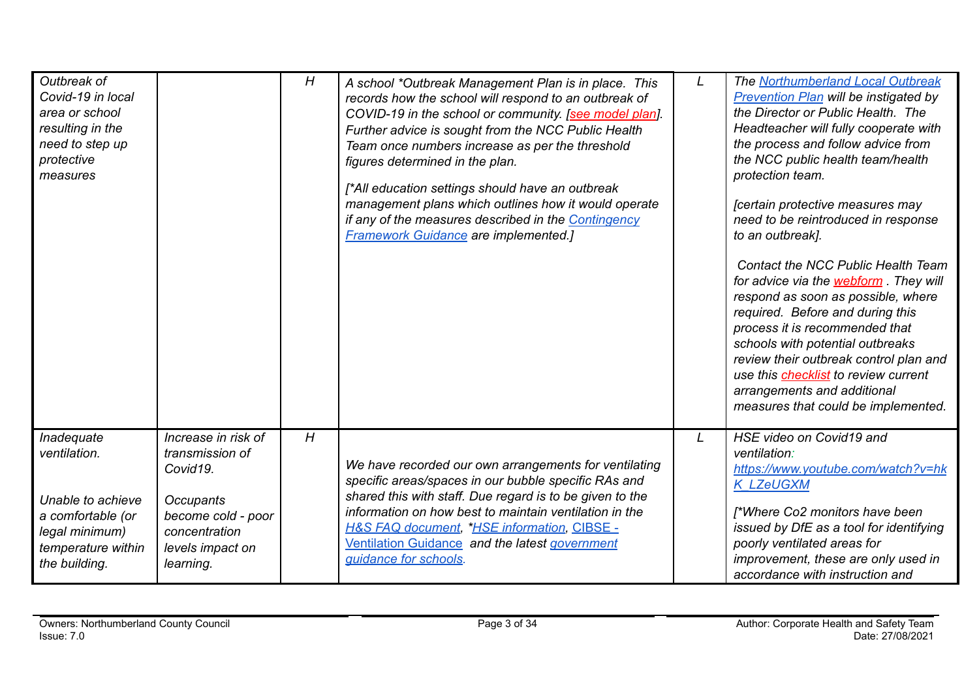| Outbreak of<br>Covid-19 in local<br>area or school<br>resulting in the<br>need to step up<br>protective<br>measures           |                                                                                                                                                | H | A school *Outbreak Management Plan is in place. This<br>records how the school will respond to an outbreak of<br>COVID-19 in the school or community. [see model plan].<br>Further advice is sought from the NCC Public Health<br>Team once numbers increase as per the threshold<br>figures determined in the plan.<br>[*All education settings should have an outbreak<br>management plans which outlines how it would operate<br>if any of the measures described in the Contingency<br><b>Framework Guidance are implemented.]</b> | L | The Northumberland Local Outbreak<br><b>Prevention Plan will be instigated by</b><br>the Director or Public Health. The<br>Headteacher will fully cooperate with<br>the process and follow advice from<br>the NCC public health team/health<br>protection team.<br>[certain protective measures may<br>need to be reintroduced in response<br>to an outbreak].<br><b>Contact the NCC Public Health Team</b><br>for advice via the <b>webform</b> They will<br>respond as soon as possible, where<br>required. Before and during this<br>process it is recommended that<br>schools with potential outbreaks<br>review their outbreak control plan and<br>use this <b>checklist</b> to review current<br>arrangements and additional<br>measures that could be implemented. |
|-------------------------------------------------------------------------------------------------------------------------------|------------------------------------------------------------------------------------------------------------------------------------------------|---|----------------------------------------------------------------------------------------------------------------------------------------------------------------------------------------------------------------------------------------------------------------------------------------------------------------------------------------------------------------------------------------------------------------------------------------------------------------------------------------------------------------------------------------|---|---------------------------------------------------------------------------------------------------------------------------------------------------------------------------------------------------------------------------------------------------------------------------------------------------------------------------------------------------------------------------------------------------------------------------------------------------------------------------------------------------------------------------------------------------------------------------------------------------------------------------------------------------------------------------------------------------------------------------------------------------------------------------|
| Inadequate<br>ventilation.<br>Unable to achieve<br>a comfortable (or<br>legal minimum)<br>temperature within<br>the building. | Increase in risk of<br>transmission of<br>Covid19.<br><b>Occupants</b><br>become cold - poor<br>concentration<br>levels impact on<br>learning. | H | We have recorded our own arrangements for ventilating<br>specific areas/spaces in our bubble specific RAs and<br>shared this with staff. Due regard is to be given to the<br>information on how best to maintain ventilation in the<br><b>H&amp;S FAQ document, *HSE information, CIBSE -</b><br>Ventilation Guidance and the latest government<br>guidance for schools.                                                                                                                                                               | L | HSE video on Covid19 and<br>ventilation:<br>https://www.youtube.com/watch?v=hk<br><b>K LZeUGXM</b><br>[*Where Co2 monitors have been<br>issued by DfE as a tool for identifying<br>poorly ventilated areas for<br>improvement, these are only used in<br>accordance with instruction and                                                                                                                                                                                                                                                                                                                                                                                                                                                                                  |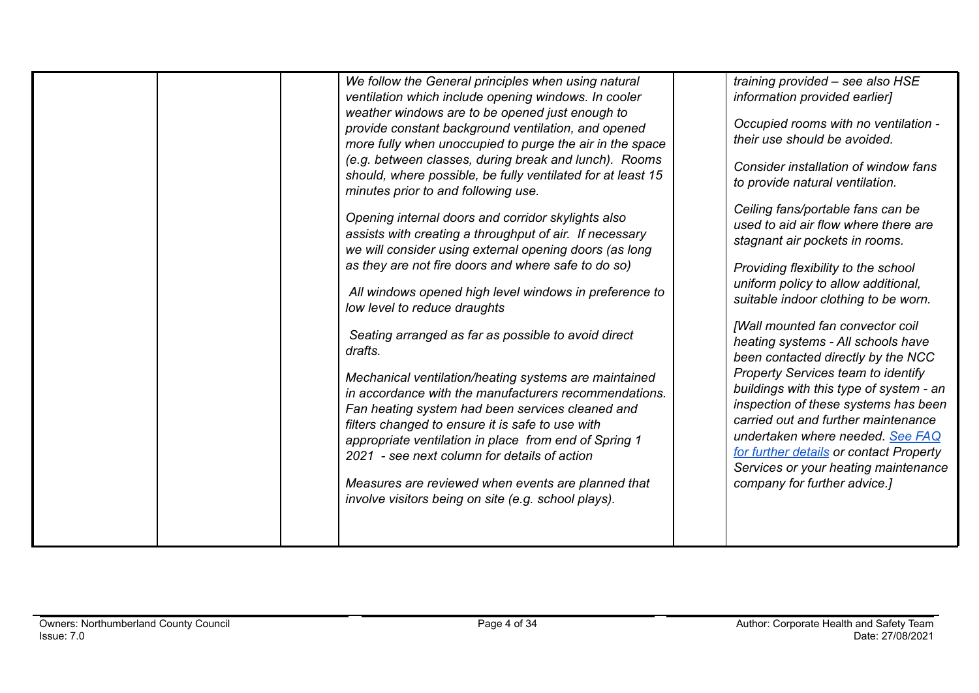| minutes prior to and following use.<br>low level to reduce draughts<br>drafts. | We follow the General principles when using natural<br>ventilation which include opening windows. In cooler<br>weather windows are to be opened just enough to<br>provide constant background ventilation, and opened<br>more fully when unoccupied to purge the air in the space<br>(e.g. between classes, during break and lunch). Rooms<br>should, where possible, be fully ventilated for at least 15<br>Opening internal doors and corridor skylights also<br>assists with creating a throughput of air. If necessary<br>we will consider using external opening doors (as long<br>as they are not fire doors and where safe to do so)<br>All windows opened high level windows in preference to<br>Seating arranged as far as possible to avoid direct<br>Mechanical ventilation/heating systems are maintained<br>in accordance with the manufacturers recommendations.<br>Fan heating system had been services cleaned and<br>filters changed to ensure it is safe to use with<br>appropriate ventilation in place from end of Spring 1<br>2021 - see next column for details of action<br>Measures are reviewed when events are planned that | training provided - see also HSE<br>information provided earlier]<br>Occupied rooms with no ventilation -<br>their use should be avoided.<br>Consider installation of window fans<br>to provide natural ventilation.<br>Ceiling fans/portable fans can be<br>used to aid air flow where there are<br>stagnant air pockets in rooms.<br>Providing flexibility to the school<br>uniform policy to allow additional,<br>suitable indoor clothing to be worn.<br>[Wall mounted fan convector coil<br>heating systems - All schools have<br>been contacted directly by the NCC<br><b>Property Services team to identify</b><br>buildings with this type of system - an<br>inspection of these systems has been<br>carried out and further maintenance<br>undertaken where needed. See FAQ<br>for further details or contact Property<br>Services or your heating maintenance<br>company for further advice.] |
|--------------------------------------------------------------------------------|-------------------------------------------------------------------------------------------------------------------------------------------------------------------------------------------------------------------------------------------------------------------------------------------------------------------------------------------------------------------------------------------------------------------------------------------------------------------------------------------------------------------------------------------------------------------------------------------------------------------------------------------------------------------------------------------------------------------------------------------------------------------------------------------------------------------------------------------------------------------------------------------------------------------------------------------------------------------------------------------------------------------------------------------------------------------------------------------------------------------------------------------------------|---------------------------------------------------------------------------------------------------------------------------------------------------------------------------------------------------------------------------------------------------------------------------------------------------------------------------------------------------------------------------------------------------------------------------------------------------------------------------------------------------------------------------------------------------------------------------------------------------------------------------------------------------------------------------------------------------------------------------------------------------------------------------------------------------------------------------------------------------------------------------------------------------------|
|                                                                                | involve visitors being on site (e.g. school plays).                                                                                                                                                                                                                                                                                                                                                                                                                                                                                                                                                                                                                                                                                                                                                                                                                                                                                                                                                                                                                                                                                                   |                                                                                                                                                                                                                                                                                                                                                                                                                                                                                                                                                                                                                                                                                                                                                                                                                                                                                                         |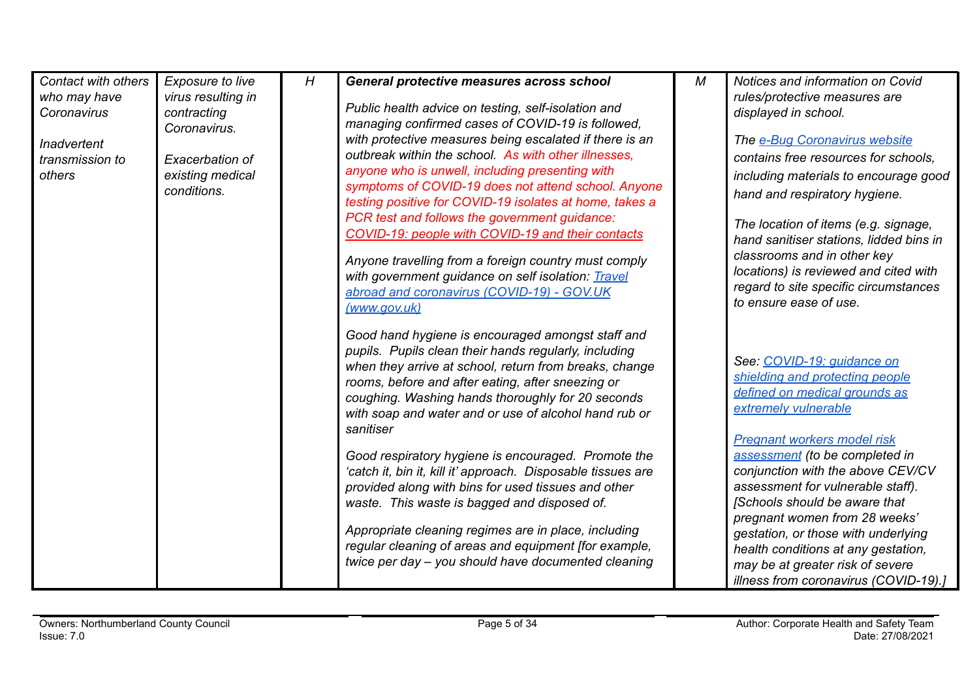| Contact with others<br>who may have<br>Coronavirus<br><b>Inadvertent</b><br>transmission to<br>others | Exposure to live<br>virus resulting in<br>contracting<br>Coronavirus.<br>Exacerbation of<br>existing medical<br>conditions. | H | General protective measures across school<br>Public health advice on testing, self-isolation and<br>managing confirmed cases of COVID-19 is followed,<br>with protective measures being escalated if there is an<br>outbreak within the school. As with other illnesses.<br>anyone who is unwell, including presenting with<br>symptoms of COVID-19 does not attend school. Anyone                 | M | Notices and information on Covid<br>rules/protective measures are<br>displayed in school.<br>The e-Bug Coronavirus website<br>contains free resources for schools.<br>including materials to encourage good                                                                                                                           |
|-------------------------------------------------------------------------------------------------------|-----------------------------------------------------------------------------------------------------------------------------|---|----------------------------------------------------------------------------------------------------------------------------------------------------------------------------------------------------------------------------------------------------------------------------------------------------------------------------------------------------------------------------------------------------|---|---------------------------------------------------------------------------------------------------------------------------------------------------------------------------------------------------------------------------------------------------------------------------------------------------------------------------------------|
|                                                                                                       |                                                                                                                             |   | testing positive for COVID-19 isolates at home, takes a<br>PCR test and follows the government guidance:<br>COVID-19: people with COVID-19 and their contacts<br>Anyone travelling from a foreign country must comply<br>with government guidance on self isolation: Travel<br>abroad and coronavirus (COVID-19) - GOV.UK<br>(www.gov.uk)                                                          |   | hand and respiratory hygiene.<br>The location of items (e.g. signage,<br>hand sanitiser stations, lidded bins in<br>classrooms and in other key<br>locations) is reviewed and cited with<br>regard to site specific circumstances<br>to ensure ease of use.                                                                           |
|                                                                                                       |                                                                                                                             |   | Good hand hygiene is encouraged amongst staff and<br>pupils. Pupils clean their hands regularly, including<br>when they arrive at school, return from breaks, change<br>rooms, before and after eating, after sneezing or<br>coughing. Washing hands thoroughly for 20 seconds<br>with soap and water and or use of alcohol hand rub or<br>sanitiser                                               |   | See: COVID-19: quidance on<br>shielding and protecting people<br>defined on medical grounds as<br>extremely vulnerable<br><b>Pregnant workers model risk</b>                                                                                                                                                                          |
|                                                                                                       |                                                                                                                             |   | Good respiratory hygiene is encouraged. Promote the<br>'catch it, bin it, kill it' approach. Disposable tissues are<br>provided along with bins for used tissues and other<br>waste. This waste is bagged and disposed of.<br>Appropriate cleaning regimes are in place, including<br>regular cleaning of areas and equipment [for example,<br>twice per day - you should have documented cleaning |   | assessment (to be completed in<br>conjunction with the above CEV/CV<br>assessment for vulnerable staff).<br>[Schools should be aware that<br>pregnant women from 28 weeks'<br>gestation, or those with underlying<br>health conditions at any gestation,<br>may be at greater risk of severe<br>illness from coronavirus (COVID-19).] |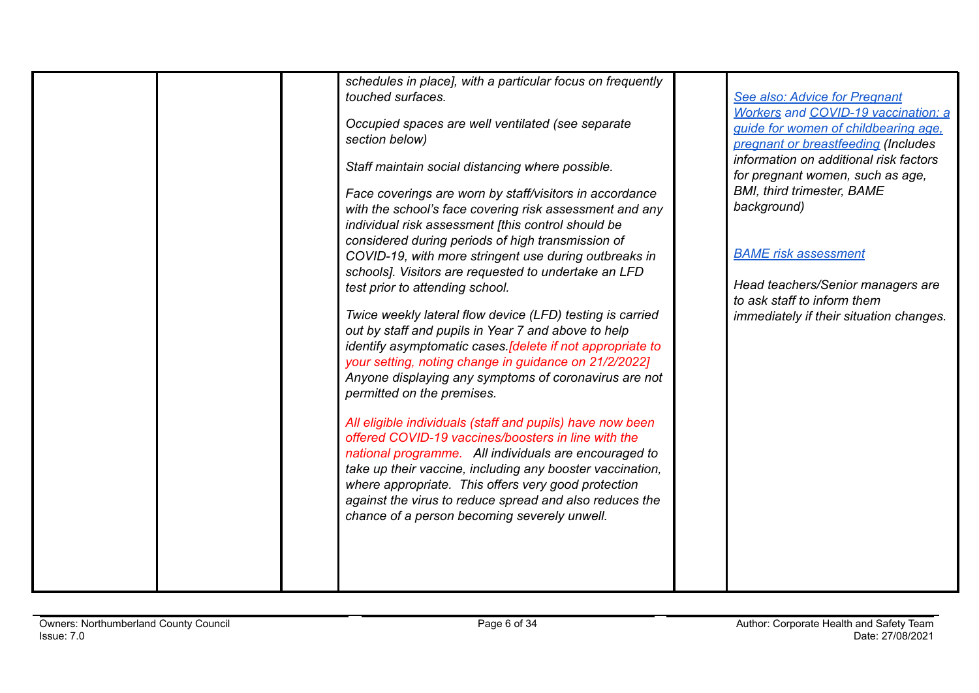|  | schedules in place], with a particular focus on frequently<br>touched surfaces.<br>Occupied spaces are well ventilated (see separate<br>section below)<br>Staff maintain social distancing where possible.<br>Face coverings are worn by staff/visitors in accordance<br>with the school's face covering risk assessment and any<br>individual risk assessment [this control should be<br>considered during periods of high transmission of<br>COVID-19, with more stringent use during outbreaks in<br>schools]. Visitors are requested to undertake an LFD<br>test prior to attending school.<br>Twice weekly lateral flow device (LFD) testing is carried<br>out by staff and pupils in Year 7 and above to help<br>identify asymptomatic cases. [delete if not appropriate to<br>your setting, noting change in guidance on 21/2/2022]<br>Anyone displaying any symptoms of coronavirus are not<br>permitted on the premises.<br>All eligible individuals (staff and pupils) have now been<br>offered COVID-19 vaccines/boosters in line with the<br>national programme. All individuals are encouraged to<br>take up their vaccine, including any booster vaccination,<br>where appropriate. This offers very good protection<br>against the virus to reduce spread and also reduces the<br>chance of a person becoming severely unwell. | See also: Advice for Pregnant<br><b>Workers and COVID-19 vaccination: a</b><br>guide for women of childbearing age.<br>pregnant or breastfeeding (Includes<br>information on additional risk factors<br>for pregnant women, such as age,<br><b>BMI, third trimester, BAME</b><br>background)<br><b>BAME</b> risk assessment<br>Head teachers/Senior managers are<br>to ask staff to inform them<br>immediately if their situation changes. |
|--|-----------------------------------------------------------------------------------------------------------------------------------------------------------------------------------------------------------------------------------------------------------------------------------------------------------------------------------------------------------------------------------------------------------------------------------------------------------------------------------------------------------------------------------------------------------------------------------------------------------------------------------------------------------------------------------------------------------------------------------------------------------------------------------------------------------------------------------------------------------------------------------------------------------------------------------------------------------------------------------------------------------------------------------------------------------------------------------------------------------------------------------------------------------------------------------------------------------------------------------------------------------------------------------------------------------------------------------------------|--------------------------------------------------------------------------------------------------------------------------------------------------------------------------------------------------------------------------------------------------------------------------------------------------------------------------------------------------------------------------------------------------------------------------------------------|
|  |                                                                                                                                                                                                                                                                                                                                                                                                                                                                                                                                                                                                                                                                                                                                                                                                                                                                                                                                                                                                                                                                                                                                                                                                                                                                                                                                               |                                                                                                                                                                                                                                                                                                                                                                                                                                            |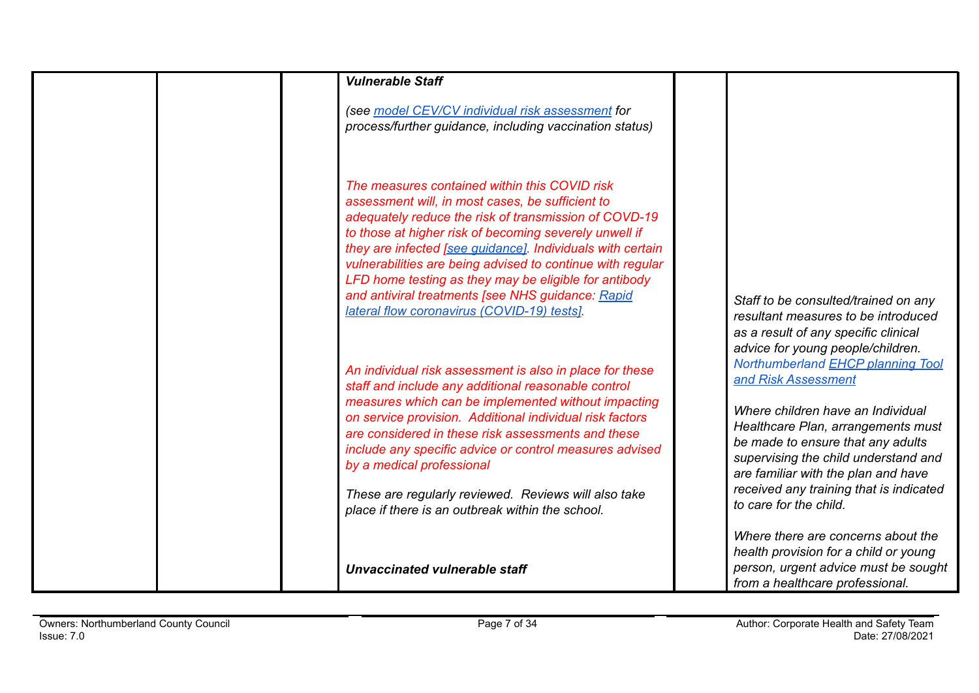| <b>Vulnerable Staff</b>                                                                                                                                                                                                                                                                                                                                                                                                                                                                                       |                                                                                                                                                                                                                                                                                                                                                                          |
|---------------------------------------------------------------------------------------------------------------------------------------------------------------------------------------------------------------------------------------------------------------------------------------------------------------------------------------------------------------------------------------------------------------------------------------------------------------------------------------------------------------|--------------------------------------------------------------------------------------------------------------------------------------------------------------------------------------------------------------------------------------------------------------------------------------------------------------------------------------------------------------------------|
| (see model CEV/CV individual risk assessment for<br>process/further guidance, including vaccination status)                                                                                                                                                                                                                                                                                                                                                                                                   |                                                                                                                                                                                                                                                                                                                                                                          |
| The measures contained within this COVID risk<br>assessment will, in most cases, be sufficient to<br>adequately reduce the risk of transmission of COVD-19<br>to those at higher risk of becoming severely unwell if<br>they are infected [see guidance]. Individuals with certain<br>vulnerabilities are being advised to continue with regular<br>LFD home testing as they may be eligible for antibody<br>and antiviral treatments [see NHS guidance: Rapid<br>lateral flow coronavirus (COVID-19) tests]. | Staff to be consulted/trained on any<br>resultant measures to be introduced<br>as a result of any specific clinical                                                                                                                                                                                                                                                      |
| An individual risk assessment is also in place for these<br>staff and include any additional reasonable control<br>measures which can be implemented without impacting<br>on service provision. Additional individual risk factors<br>are considered in these risk assessments and these<br>include any specific advice or control measures advised<br>by a medical professional<br>These are regularly reviewed. Reviews will also take<br>place if there is an outbreak within the school.                  | advice for young people/children.<br>Northumberland <b>EHCP</b> planning Tool<br>and Risk Assessment<br>Where children have an Individual<br>Healthcare Plan, arrangements must<br>be made to ensure that any adults<br>supervising the child understand and<br>are familiar with the plan and have<br>received any training that is indicated<br>to care for the child. |
| Unvaccinated vulnerable staff                                                                                                                                                                                                                                                                                                                                                                                                                                                                                 | Where there are concerns about the<br>health provision for a child or young<br>person, urgent advice must be sought<br>from a healthcare professional.                                                                                                                                                                                                                   |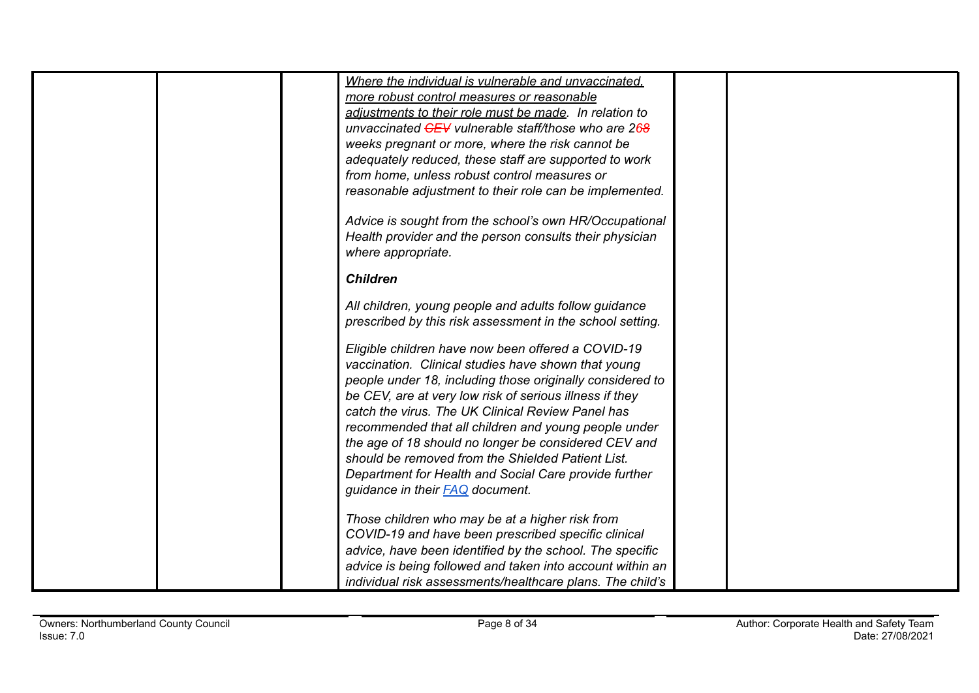|  | Where the individual is vulnerable and unvaccinated.      |  |
|--|-----------------------------------------------------------|--|
|  | more robust control measures or reasonable                |  |
|  | adiustments to their role must be made. In relation to    |  |
|  | unvaccinated CEV vulnerable staff/those who are 268       |  |
|  | weeks pregnant or more, where the risk cannot be          |  |
|  | adequately reduced, these staff are supported to work     |  |
|  | from home, unless robust control measures or              |  |
|  | reasonable adjustment to their role can be implemented.   |  |
|  |                                                           |  |
|  | Advice is sought from the school's own HR/Occupational    |  |
|  | Health provider and the person consults their physician   |  |
|  | where appropriate.                                        |  |
|  |                                                           |  |
|  | <b>Children</b>                                           |  |
|  | All children, young people and adults follow guidance     |  |
|  | prescribed by this risk assessment in the school setting. |  |
|  |                                                           |  |
|  | Eligible children have now been offered a COVID-19        |  |
|  | vaccination. Clinical studies have shown that young       |  |
|  | people under 18, including those originally considered to |  |
|  | be CEV, are at very low risk of serious illness if they   |  |
|  | catch the virus. The UK Clinical Review Panel has         |  |
|  | recommended that all children and young people under      |  |
|  | the age of 18 should no longer be considered CEV and      |  |
|  | should be removed from the Shielded Patient List.         |  |
|  | Department for Health and Social Care provide further     |  |
|  | guidance in their <b>FAQ</b> document.                    |  |
|  |                                                           |  |
|  | Those children who may be at a higher risk from           |  |
|  | COVID-19 and have been prescribed specific clinical       |  |
|  | advice, have been identified by the school. The specific  |  |
|  | advice is being followed and taken into account within an |  |
|  | individual risk assessments/healthcare plans. The child's |  |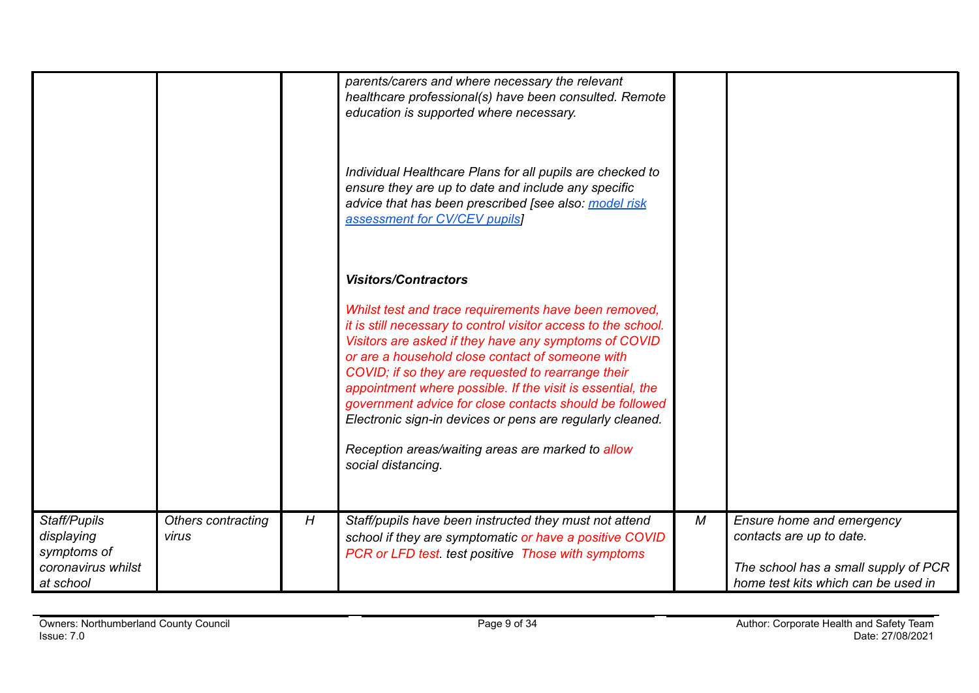|                                   |                    |   | parents/carers and where necessary the relevant<br>healthcare professional(s) have been consulted. Remote |   |                                      |
|-----------------------------------|--------------------|---|-----------------------------------------------------------------------------------------------------------|---|--------------------------------------|
|                                   |                    |   | education is supported where necessary.                                                                   |   |                                      |
|                                   |                    |   |                                                                                                           |   |                                      |
|                                   |                    |   |                                                                                                           |   |                                      |
|                                   |                    |   | Individual Healthcare Plans for all pupils are checked to                                                 |   |                                      |
|                                   |                    |   | ensure they are up to date and include any specific                                                       |   |                                      |
|                                   |                    |   | advice that has been prescribed [see also: model risk                                                     |   |                                      |
|                                   |                    |   | assessment for CV/CEV pupils]                                                                             |   |                                      |
|                                   |                    |   |                                                                                                           |   |                                      |
|                                   |                    |   |                                                                                                           |   |                                      |
|                                   |                    |   | <b>Visitors/Contractors</b>                                                                               |   |                                      |
|                                   |                    |   | Whilst test and trace requirements have been removed,                                                     |   |                                      |
|                                   |                    |   | it is still necessary to control visitor access to the school.                                            |   |                                      |
|                                   |                    |   | Visitors are asked if they have any symptoms of COVID                                                     |   |                                      |
|                                   |                    |   | or are a household close contact of someone with<br>COVID; if so they are requested to rearrange their    |   |                                      |
|                                   |                    |   | appointment where possible. If the visit is essential, the                                                |   |                                      |
|                                   |                    |   | government advice for close contacts should be followed                                                   |   |                                      |
|                                   |                    |   | Electronic sign-in devices or pens are regularly cleaned.                                                 |   |                                      |
|                                   |                    |   | Reception areas/waiting areas are marked to allow                                                         |   |                                      |
|                                   |                    |   | social distancing.                                                                                        |   |                                      |
|                                   |                    |   |                                                                                                           |   |                                      |
|                                   |                    |   |                                                                                                           |   |                                      |
| Staff/Pupils                      | Others contracting | H | Staff/pupils have been instructed they must not attend                                                    | М | Ensure home and emergency            |
| displaying                        | virus              |   | school if they are symptomatic or have a positive COVID                                                   |   | contacts are up to date.             |
| symptoms of<br>coronavirus whilst |                    |   | PCR or LFD test. test positive Those with symptoms                                                        |   | The school has a small supply of PCR |
| at school                         |                    |   |                                                                                                           |   | home test kits which can be used in  |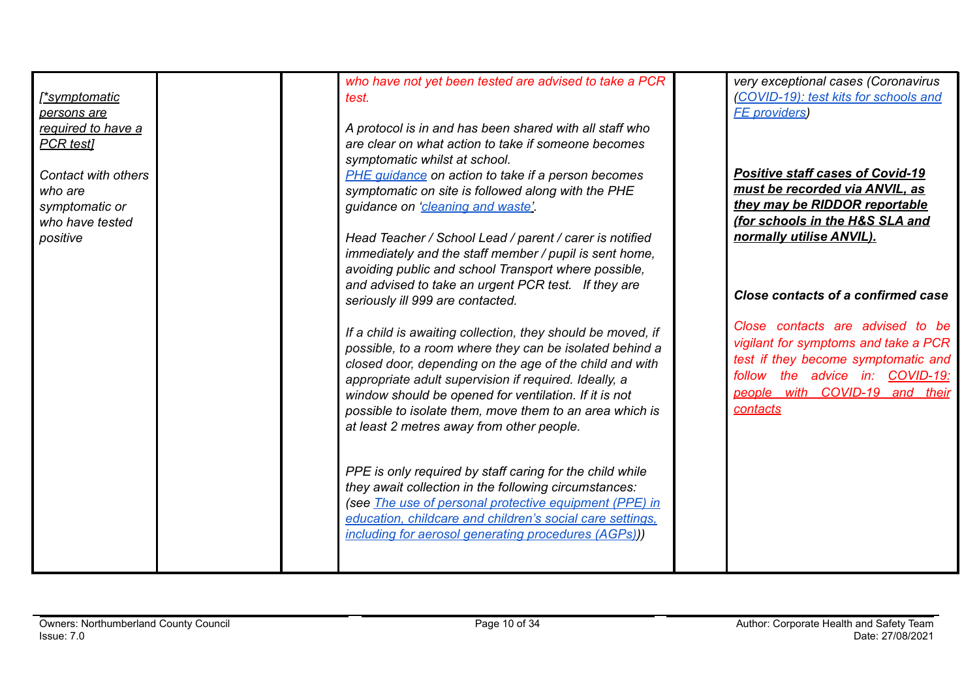| <u>symptomatic</u><br>persons are<br>required to have a<br><b>PCR</b> testl<br>Contact with others<br>who are |  | who have not yet been tested are advised to take a PCR<br>test.<br>A protocol is in and has been shared with all staff who<br>are clear on what action to take if someone becomes<br>symptomatic whilst at school.<br><b>PHE quidance on action to take if a person becomes</b><br>symptomatic on site is followed along with the PHE                                                                       | very exceptional cases (Coronavirus<br>(COVID-19): test kits for schools and<br><b>FE</b> providers<br><b>Positive staff cases of Covid-19</b><br>must be recorded via ANVIL, as                 |
|---------------------------------------------------------------------------------------------------------------|--|-------------------------------------------------------------------------------------------------------------------------------------------------------------------------------------------------------------------------------------------------------------------------------------------------------------------------------------------------------------------------------------------------------------|--------------------------------------------------------------------------------------------------------------------------------------------------------------------------------------------------|
| symptomatic or<br>who have tested<br>positive                                                                 |  | guidance on 'cleaning and waste'.<br>Head Teacher / School Lead / parent / carer is notified<br>immediately and the staff member / pupil is sent home,<br>avoiding public and school Transport where possible,<br>and advised to take an urgent PCR test. If they are<br>seriously ill 999 are contacted.                                                                                                   | they may be RIDDOR reportable<br><u>(for schools in the H&amp;S SLA and </u><br>normally utilise ANVIL).<br>Close contacts of a confirmed case                                                   |
|                                                                                                               |  | If a child is awaiting collection, they should be moved, if<br>possible, to a room where they can be isolated behind a<br>closed door, depending on the age of the child and with<br>appropriate adult supervision if required. Ideally, a<br>window should be opened for ventilation. If it is not<br>possible to isolate them, move them to an area which is<br>at least 2 metres away from other people. | Close contacts are advised to be<br>vigilant for symptoms and take a PCR<br>test if they become symptomatic and<br>follow the advice in: COVID-19:<br>people with COVID-19 and their<br>contacts |
|                                                                                                               |  | PPE is only required by staff caring for the child while<br>they await collection in the following circumstances:<br>(see The use of personal protective equipment (PPE) in<br>education, childcare and children's social care settings,<br>including for aerosol generating procedures (AGPs))                                                                                                             |                                                                                                                                                                                                  |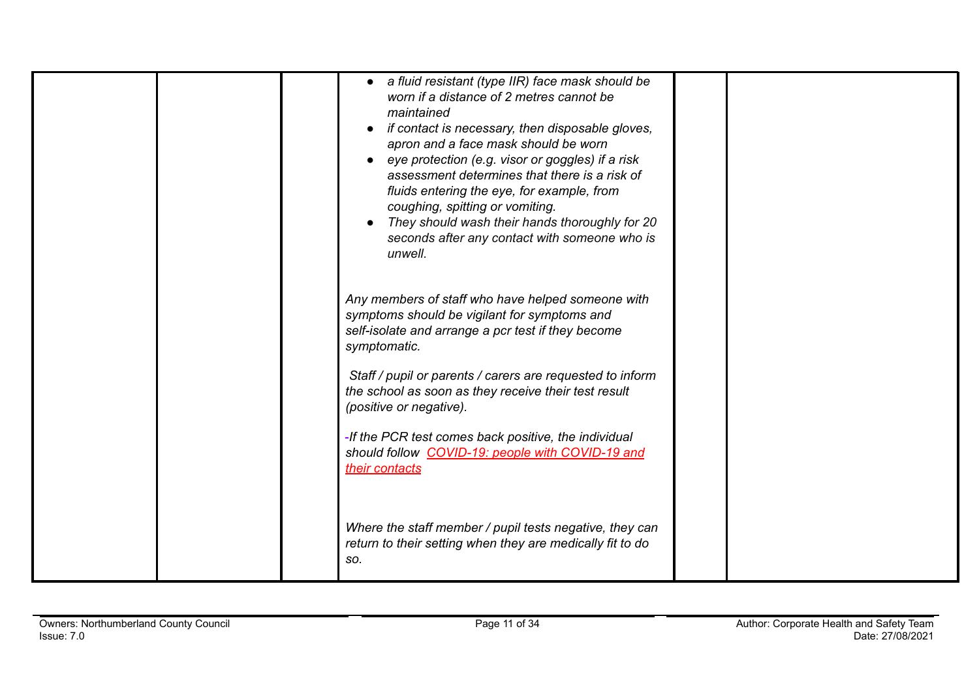|  | a fluid resistant (type IIR) face mask should be<br>worn if a distance of 2 metres cannot be<br>maintained<br>if contact is necessary, then disposable gloves,<br>apron and a face mask should be worn<br>• eye protection (e.g. visor or goggles) if a risk<br>assessment determines that there is a risk of<br>fluids entering the eye, for example, from<br>coughing, spitting or vomiting.<br>They should wash their hands thoroughly for 20<br>seconds after any contact with someone who is<br>unwell. |  |
|--|--------------------------------------------------------------------------------------------------------------------------------------------------------------------------------------------------------------------------------------------------------------------------------------------------------------------------------------------------------------------------------------------------------------------------------------------------------------------------------------------------------------|--|
|  | Any members of staff who have helped someone with<br>symptoms should be vigilant for symptoms and<br>self-isolate and arrange a pcr test if they become<br>symptomatic.                                                                                                                                                                                                                                                                                                                                      |  |
|  | Staff / pupil or parents / carers are requested to inform<br>the school as soon as they receive their test result<br>(positive or negative).                                                                                                                                                                                                                                                                                                                                                                 |  |
|  | -If the PCR test comes back positive, the individual<br>should follow COVID-19: people with COVID-19 and<br>their contacts                                                                                                                                                                                                                                                                                                                                                                                   |  |
|  | Where the staff member / pupil tests negative, they can<br>return to their setting when they are medically fit to do<br>SO.                                                                                                                                                                                                                                                                                                                                                                                  |  |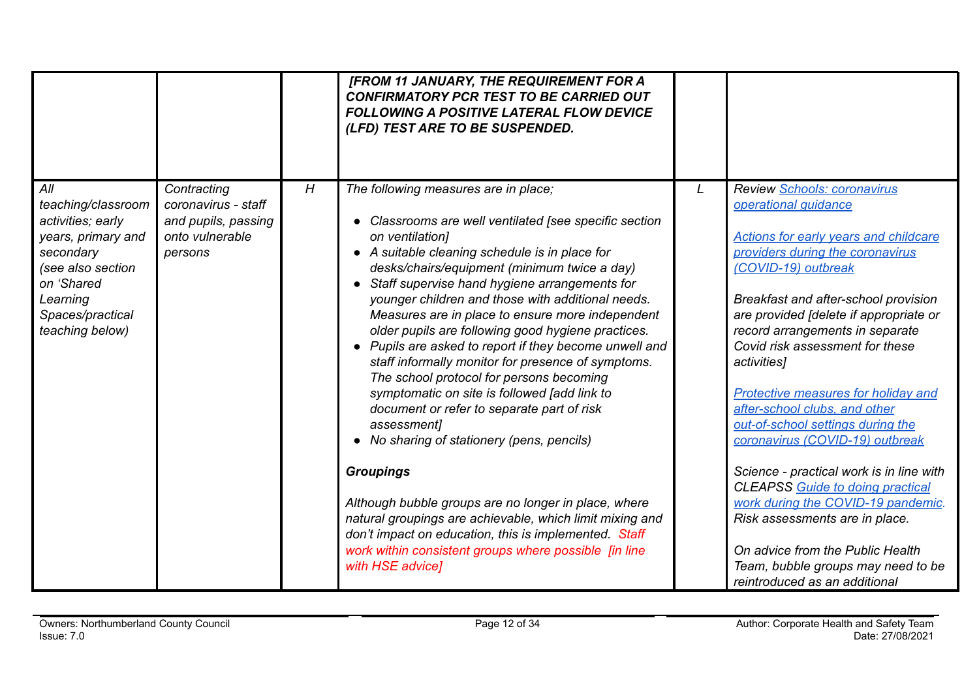|                                                                                                                                                                         |                                                                                         |   | [FROM 11 JANUARY, THE REQUIREMENT FOR A<br><b>CONFIRMATORY PCR TEST TO BE CARRIED OUT</b><br><b>FOLLOWING A POSITIVE LATERAL FLOW DEVICE</b><br>(LFD) TEST ARE TO BE SUSPENDED.                                                                                                                                                                                                                                                                                                                                                                                                                                                                                                                                                                                                                                                                                                                                                                                                                                                            |   |                                                                                                                                                                                                                                                                                                                                                                                                                                                                                                                                                                                                                                                                                                                                                                 |
|-------------------------------------------------------------------------------------------------------------------------------------------------------------------------|-----------------------------------------------------------------------------------------|---|--------------------------------------------------------------------------------------------------------------------------------------------------------------------------------------------------------------------------------------------------------------------------------------------------------------------------------------------------------------------------------------------------------------------------------------------------------------------------------------------------------------------------------------------------------------------------------------------------------------------------------------------------------------------------------------------------------------------------------------------------------------------------------------------------------------------------------------------------------------------------------------------------------------------------------------------------------------------------------------------------------------------------------------------|---|-----------------------------------------------------------------------------------------------------------------------------------------------------------------------------------------------------------------------------------------------------------------------------------------------------------------------------------------------------------------------------------------------------------------------------------------------------------------------------------------------------------------------------------------------------------------------------------------------------------------------------------------------------------------------------------------------------------------------------------------------------------------|
| All<br>teaching/classroom<br>activities; early<br>years, primary and<br>secondary<br>(see also section<br>on 'Shared<br>Learning<br>Spaces/practical<br>teaching below) | Contracting<br>coronavirus - staff<br>and pupils, passing<br>onto vulnerable<br>persons | H | The following measures are in place;<br>• Classrooms are well ventilated [see specific section<br>on ventilation]<br>• A suitable cleaning schedule is in place for<br>desks/chairs/equipment (minimum twice a day)<br>• Staff supervise hand hygiene arrangements for<br>younger children and those with additional needs.<br>Measures are in place to ensure more independent<br>older pupils are following good hygiene practices.<br>• Pupils are asked to report if they become unwell and<br>staff informally monitor for presence of symptoms.<br>The school protocol for persons becoming<br>symptomatic on site is followed [add link to<br>document or refer to separate part of risk<br>assessment]<br>• No sharing of stationery (pens, pencils)<br><b>Groupings</b><br>Although bubble groups are no longer in place, where<br>natural groupings are achievable, which limit mixing and<br>don't impact on education, this is implemented. Staff<br>work within consistent groups where possible [in line<br>with HSE advice] | L | Review Schools: coronavirus<br>operational quidance<br><b>Actions for early years and childcare</b><br>providers during the coronavirus<br>(COVID-19) outbreak<br>Breakfast and after-school provision<br>are provided [delete if appropriate or<br>record arrangements in separate<br>Covid risk assessment for these<br>activities]<br>Protective measures for holiday and<br>after-school clubs, and other<br>out-of-school settings during the<br>coronavirus (COVID-19) outbreak<br>Science - practical work is in line with<br><b>CLEAPSS Guide to doing practical</b><br>work during the COVID-19 pandemic.<br>Risk assessments are in place.<br>On advice from the Public Health<br>Team, bubble groups may need to be<br>reintroduced as an additional |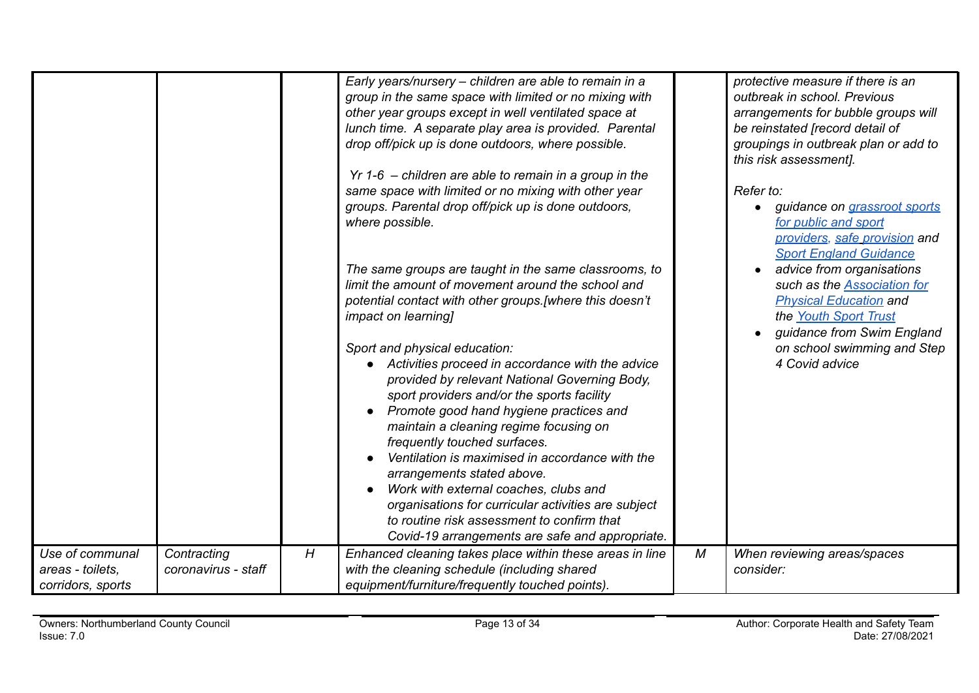|                                                          |                                    |                  | Early years/nursery - children are able to remain in a<br>group in the same space with limited or no mixing with<br>other year groups except in well ventilated space at<br>lunch time. A separate play area is provided. Parental<br>drop off/pick up is done outdoors, where possible.<br>$Yr$ 1-6 – children are able to remain in a group in the<br>same space with limited or no mixing with other year<br>groups. Parental drop off/pick up is done outdoors,<br>where possible.<br>The same groups are taught in the same classrooms, to<br>limit the amount of movement around the school and<br>potential contact with other groups. [where this doesn't<br><i>impact on learning]</i><br>Sport and physical education:<br>Activities proceed in accordance with the advice<br>provided by relevant National Governing Body,<br>sport providers and/or the sports facility<br>Promote good hand hygiene practices and<br>maintain a cleaning regime focusing on<br>frequently touched surfaces.<br>Ventilation is maximised in accordance with the<br>arrangements stated above.<br>Work with external coaches, clubs and<br>organisations for curricular activities are subject |   | protective measure if there is an<br>outbreak in school. Previous<br>arrangements for bubble groups will<br>be reinstated [record detail of<br>groupings in outbreak plan or add to<br>this risk assessment].<br>Refer to:<br>guidance on <i>grassroot sports</i><br>for public and sport<br>providers, safe provision and<br><b>Sport England Guidance</b><br>advice from organisations<br>such as the <b>Association</b> for<br><b>Physical Education and</b><br>the Youth Sport Trust<br>guidance from Swim England<br>on school swimming and Step<br>4 Covid advice |
|----------------------------------------------------------|------------------------------------|------------------|-------------------------------------------------------------------------------------------------------------------------------------------------------------------------------------------------------------------------------------------------------------------------------------------------------------------------------------------------------------------------------------------------------------------------------------------------------------------------------------------------------------------------------------------------------------------------------------------------------------------------------------------------------------------------------------------------------------------------------------------------------------------------------------------------------------------------------------------------------------------------------------------------------------------------------------------------------------------------------------------------------------------------------------------------------------------------------------------------------------------------------------------------------------------------------------------|---|-------------------------------------------------------------------------------------------------------------------------------------------------------------------------------------------------------------------------------------------------------------------------------------------------------------------------------------------------------------------------------------------------------------------------------------------------------------------------------------------------------------------------------------------------------------------------|
|                                                          |                                    |                  | to routine risk assessment to confirm that<br>Covid-19 arrangements are safe and appropriate.                                                                                                                                                                                                                                                                                                                                                                                                                                                                                                                                                                                                                                                                                                                                                                                                                                                                                                                                                                                                                                                                                             |   |                                                                                                                                                                                                                                                                                                                                                                                                                                                                                                                                                                         |
| Use of communal<br>areas - toilets,<br>corridors, sports | Contracting<br>coronavirus - staff | $\boldsymbol{H}$ | Enhanced cleaning takes place within these areas in line<br>with the cleaning schedule (including shared<br>equipment/furniture/frequently touched points).                                                                                                                                                                                                                                                                                                                                                                                                                                                                                                                                                                                                                                                                                                                                                                                                                                                                                                                                                                                                                               | М | When reviewing areas/spaces<br>consider:                                                                                                                                                                                                                                                                                                                                                                                                                                                                                                                                |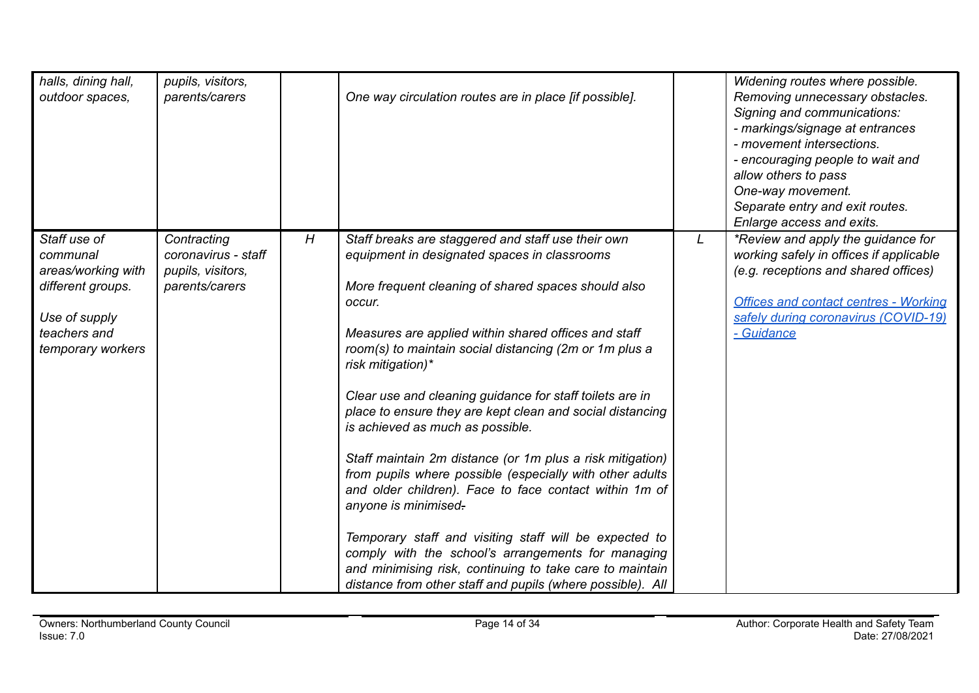| halls, dining hall,<br>outdoor spaces,                                                                                    | pupils, visitors,<br>parents/carers                                       |   | One way circulation routes are in place [if possible].                                                                                                                                                                                                                                                                                                                                                                                                                                                                                                                                                                                                                                                                                                                                                                                                                                                                       |   | Widening routes where possible.<br>Removing unnecessary obstacles.<br>Signing and communications:<br>- markings/signage at entrances<br>- movement intersections.<br>- encouraging people to wait and<br>allow others to pass<br>One-way movement.<br>Separate entry and exit routes.<br>Enlarge access and exits. |
|---------------------------------------------------------------------------------------------------------------------------|---------------------------------------------------------------------------|---|------------------------------------------------------------------------------------------------------------------------------------------------------------------------------------------------------------------------------------------------------------------------------------------------------------------------------------------------------------------------------------------------------------------------------------------------------------------------------------------------------------------------------------------------------------------------------------------------------------------------------------------------------------------------------------------------------------------------------------------------------------------------------------------------------------------------------------------------------------------------------------------------------------------------------|---|--------------------------------------------------------------------------------------------------------------------------------------------------------------------------------------------------------------------------------------------------------------------------------------------------------------------|
| Staff use of<br>communal<br>areas/working with<br>different groups.<br>Use of supply<br>teachers and<br>temporary workers | Contracting<br>coronavirus - staff<br>pupils, visitors,<br>parents/carers | H | Staff breaks are staggered and staff use their own<br>equipment in designated spaces in classrooms<br>More frequent cleaning of shared spaces should also<br>occur.<br>Measures are applied within shared offices and staff<br>room(s) to maintain social distancing (2m or 1m plus a<br>risk mitigation)*<br>Clear use and cleaning guidance for staff toilets are in<br>place to ensure they are kept clean and social distancing<br>is achieved as much as possible.<br>Staff maintain 2m distance (or 1m plus a risk mitigation)<br>from pupils where possible (especially with other adults<br>and older children). Face to face contact within 1m of<br>anyone is minimised.<br>Temporary staff and visiting staff will be expected to<br>comply with the school's arrangements for managing<br>and minimising risk, continuing to take care to maintain<br>distance from other staff and pupils (where possible). All | L | *Review and apply the guidance for<br>working safely in offices if applicable<br>(e.g. receptions and shared offices)<br><b>Offices and contact centres - Working</b><br>safely during coronavirus (COVID-19)<br>- Guidance                                                                                        |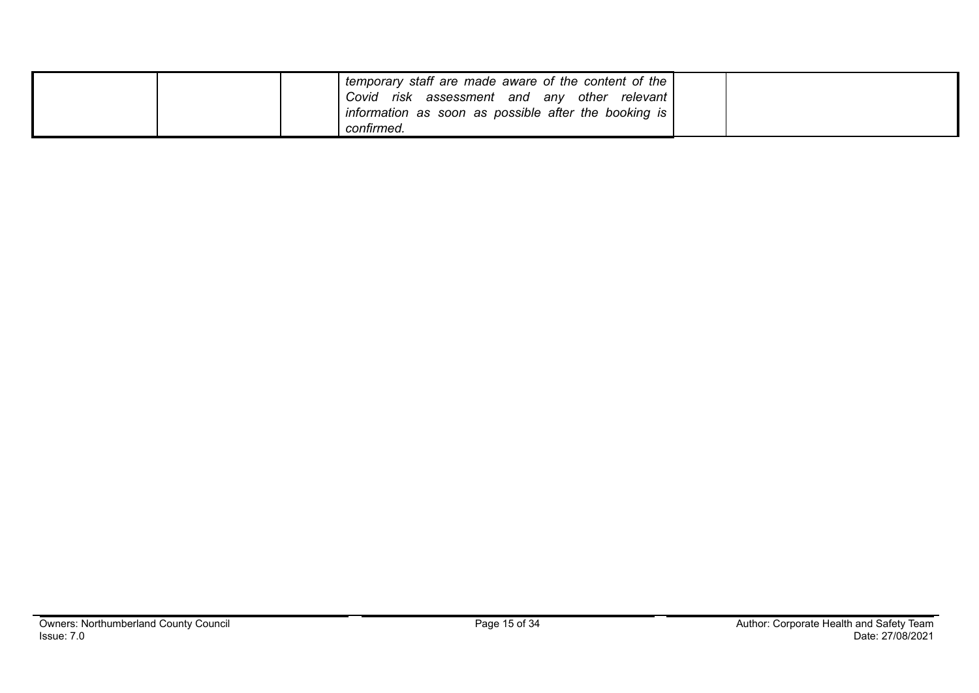| temporary staff are made aware of the content of the<br>Covid risk assessment and any other relevant<br>information as soon as possible after the booking is<br>confirmed. |  |
|----------------------------------------------------------------------------------------------------------------------------------------------------------------------------|--|
|----------------------------------------------------------------------------------------------------------------------------------------------------------------------------|--|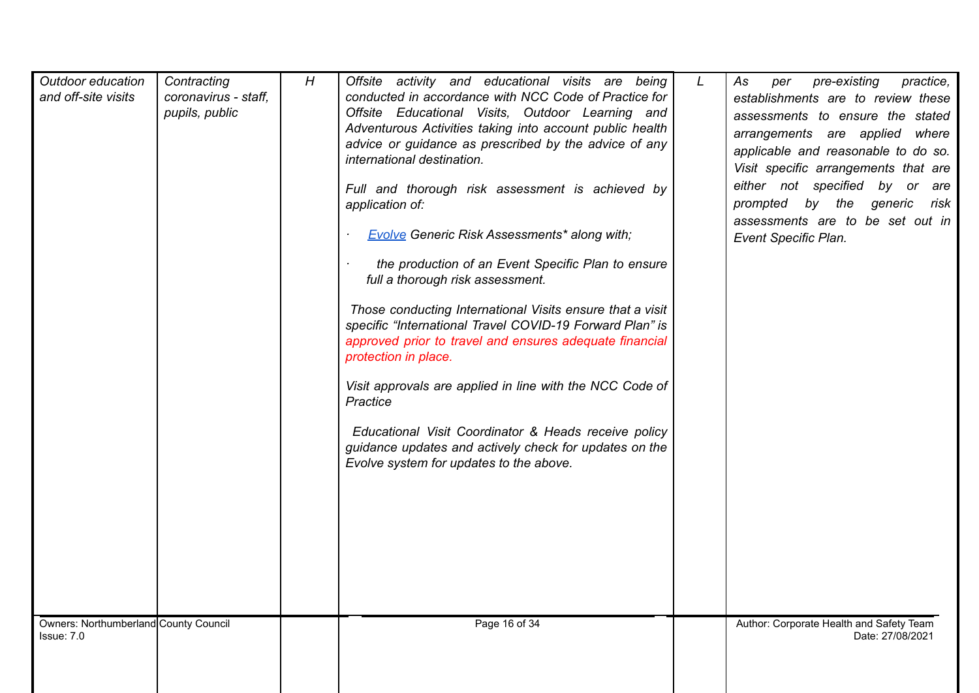| Outdoor education<br>and off-site visits            | Contracting<br>coronavirus - staff,<br>pupils, public | H | Offsite activity and educational visits are being<br>conducted in accordance with NCC Code of Practice for<br>Offsite Educational Visits, Outdoor Learning and<br>Adventurous Activities taking into account public health<br>advice or guidance as prescribed by the advice of any<br>international destination.<br>Full and thorough risk assessment is achieved by<br>application of:<br><b>Evolve Generic Risk Assessments* along with;</b><br>the production of an Event Specific Plan to ensure<br>full a thorough risk assessment.<br>Those conducting International Visits ensure that a visit<br>specific "International Travel COVID-19 Forward Plan" is<br>approved prior to travel and ensures adequate financial<br>protection in place.<br>Visit approvals are applied in line with the NCC Code of<br>Practice<br>Educational Visit Coordinator & Heads receive policy<br>guidance updates and actively check for updates on the<br>Evolve system for updates to the above. | L | As<br>pre-existing<br>practice,<br>per<br>establishments are to review these<br>assessments to ensure the stated<br>arrangements are applied where<br>applicable and reasonable to do so.<br>Visit specific arrangements that are<br>either not specified by or are<br>prompted by the generic<br>risk<br>assessments are to be set out in<br><b>Event Specific Plan.</b> |
|-----------------------------------------------------|-------------------------------------------------------|---|--------------------------------------------------------------------------------------------------------------------------------------------------------------------------------------------------------------------------------------------------------------------------------------------------------------------------------------------------------------------------------------------------------------------------------------------------------------------------------------------------------------------------------------------------------------------------------------------------------------------------------------------------------------------------------------------------------------------------------------------------------------------------------------------------------------------------------------------------------------------------------------------------------------------------------------------------------------------------------------------|---|---------------------------------------------------------------------------------------------------------------------------------------------------------------------------------------------------------------------------------------------------------------------------------------------------------------------------------------------------------------------------|
| Owners: Northumberland County Council<br>Issue: 7.0 |                                                       |   | Page 16 of 34                                                                                                                                                                                                                                                                                                                                                                                                                                                                                                                                                                                                                                                                                                                                                                                                                                                                                                                                                                              |   | Author: Corporate Health and Safety Team<br>Date: 27/08/2021                                                                                                                                                                                                                                                                                                              |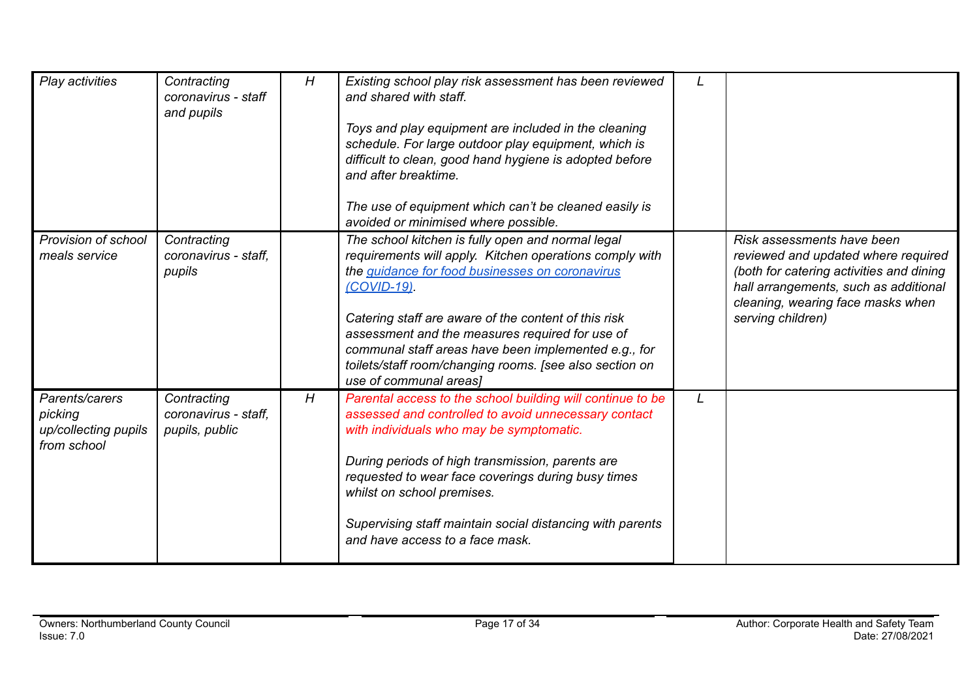| Play activities                                                  | Contracting<br>coronavirus - staff<br>and pupils      | H | Existing school play risk assessment has been reviewed<br>and shared with staff.<br>Toys and play equipment are included in the cleaning<br>schedule. For large outdoor play equipment, which is<br>difficult to clean, good hand hygiene is adopted before<br>and after breaktime.<br>The use of equipment which can't be cleaned easily is<br>avoided or minimised where possible.                                                         |   |                                                                                                                                                                                                                  |
|------------------------------------------------------------------|-------------------------------------------------------|---|----------------------------------------------------------------------------------------------------------------------------------------------------------------------------------------------------------------------------------------------------------------------------------------------------------------------------------------------------------------------------------------------------------------------------------------------|---|------------------------------------------------------------------------------------------------------------------------------------------------------------------------------------------------------------------|
| Provision of school<br>meals service                             | Contracting<br>coronavirus - staff,<br>pupils         |   | The school kitchen is fully open and normal legal<br>requirements will apply. Kitchen operations comply with<br>the <i>quidance for food businesses on coronavirus</i><br>(COVID-19)<br>Catering staff are aware of the content of this risk<br>assessment and the measures required for use of<br>communal staff areas have been implemented e.g., for<br>toilets/staff room/changing rooms. [see also section on<br>use of communal areas] |   | Risk assessments have been<br>reviewed and updated where required<br>(both for catering activities and dining<br>hall arrangements, such as additional<br>cleaning, wearing face masks when<br>serving children) |
| Parents/carers<br>picking<br>up/collecting pupils<br>from school | Contracting<br>coronavirus - staff.<br>pupils, public | H | Parental access to the school building will continue to be<br>assessed and controlled to avoid unnecessary contact<br>with individuals who may be symptomatic.<br>During periods of high transmission, parents are<br>requested to wear face coverings during busy times<br>whilst on school premises.<br>Supervising staff maintain social distancing with parents<br>and have access to a face mask.                                       | L |                                                                                                                                                                                                                  |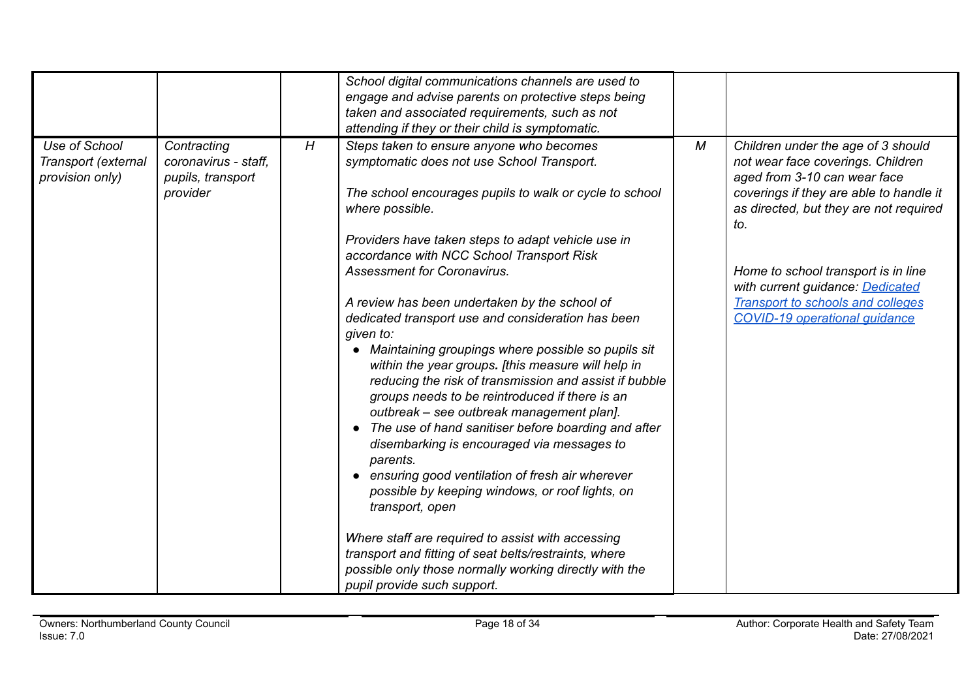|                                        |                                           |   | School digital communications channels are used to      |   |                                                                   |
|----------------------------------------|-------------------------------------------|---|---------------------------------------------------------|---|-------------------------------------------------------------------|
|                                        |                                           |   | engage and advise parents on protective steps being     |   |                                                                   |
|                                        |                                           |   | taken and associated requirements, such as not          |   |                                                                   |
|                                        |                                           |   | attending if they or their child is symptomatic.        |   |                                                                   |
| Use of School                          | Contracting                               | H | Steps taken to ensure anyone who becomes                | M | Children under the age of 3 should                                |
| Transport (external<br>provision only) | coronavirus - staff,<br>pupils, transport |   | symptomatic does not use School Transport.              |   | not wear face coverings. Children<br>aged from 3-10 can wear face |
|                                        | provider                                  |   | The school encourages pupils to walk or cycle to school |   | coverings if they are able to handle it                           |
|                                        |                                           |   | where possible.                                         |   | as directed, but they are not required<br>to.                     |
|                                        |                                           |   | Providers have taken steps to adapt vehicle use in      |   |                                                                   |
|                                        |                                           |   | accordance with NCC School Transport Risk               |   |                                                                   |
|                                        |                                           |   | <b>Assessment for Coronavirus.</b>                      |   | Home to school transport is in line                               |
|                                        |                                           |   |                                                         |   | with current guidance: Dedicated                                  |
|                                        |                                           |   |                                                         |   | <b>Transport to schools and colleges</b>                          |
|                                        |                                           |   | A review has been undertaken by the school of           |   |                                                                   |
|                                        |                                           |   | dedicated transport use and consideration has been      |   | <b>COVID-19 operational quidance</b>                              |
|                                        |                                           |   | given to:                                               |   |                                                                   |
|                                        |                                           |   | Maintaining groupings where possible so pupils sit      |   |                                                                   |
|                                        |                                           |   | within the year groups. [this measure will help in      |   |                                                                   |
|                                        |                                           |   | reducing the risk of transmission and assist if bubble  |   |                                                                   |
|                                        |                                           |   | groups needs to be reintroduced if there is an          |   |                                                                   |
|                                        |                                           |   | outbreak - see outbreak management plan].               |   |                                                                   |
|                                        |                                           |   | • The use of hand sanitiser before boarding and after   |   |                                                                   |
|                                        |                                           |   | disembarking is encouraged via messages to              |   |                                                                   |
|                                        |                                           |   | parents.                                                |   |                                                                   |
|                                        |                                           |   | • ensuring good ventilation of fresh air wherever       |   |                                                                   |
|                                        |                                           |   | possible by keeping windows, or roof lights, on         |   |                                                                   |
|                                        |                                           |   | transport, open                                         |   |                                                                   |
|                                        |                                           |   |                                                         |   |                                                                   |
|                                        |                                           |   | Where staff are required to assist with accessing       |   |                                                                   |
|                                        |                                           |   | transport and fitting of seat belts/restraints, where   |   |                                                                   |
|                                        |                                           |   | possible only those normally working directly with the  |   |                                                                   |
|                                        |                                           |   | pupil provide such support.                             |   |                                                                   |
|                                        |                                           |   |                                                         |   |                                                                   |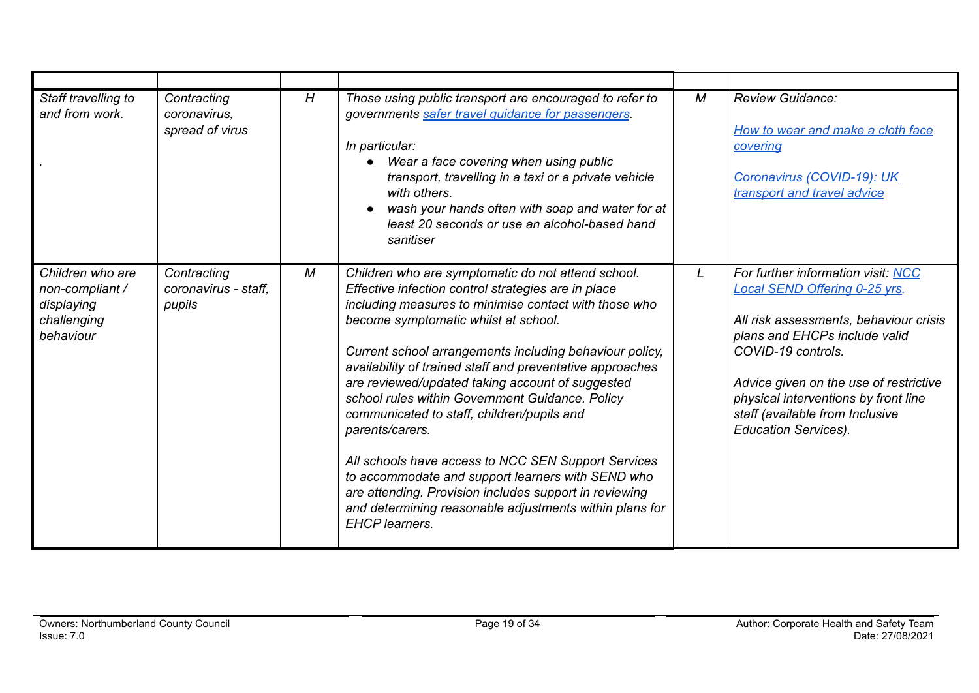| Staff travelling to<br>and from work.                                         | Contracting<br>coronavirus,<br>spread of virus | H | Those using public transport are encouraged to refer to<br>governments safer travel guidance for passengers.<br>In particular:<br>Wear a face covering when using public<br>transport, travelling in a taxi or a private vehicle<br>with others.<br>wash your hands often with soap and water for at<br>least 20 seconds or use an alcohol-based hand<br>sanitiser                                                                                                                                                                                                                                                                                                                                                                                                   | M | <b>Review Guidance:</b><br>How to wear and make a cloth face<br>covering<br>Coronavirus (COVID-19): UK<br>transport and travel advice                                                                                                                                                                                           |
|-------------------------------------------------------------------------------|------------------------------------------------|---|----------------------------------------------------------------------------------------------------------------------------------------------------------------------------------------------------------------------------------------------------------------------------------------------------------------------------------------------------------------------------------------------------------------------------------------------------------------------------------------------------------------------------------------------------------------------------------------------------------------------------------------------------------------------------------------------------------------------------------------------------------------------|---|---------------------------------------------------------------------------------------------------------------------------------------------------------------------------------------------------------------------------------------------------------------------------------------------------------------------------------|
| Children who are<br>non-compliant /<br>displaying<br>challenging<br>behaviour | Contracting<br>coronavirus - staff.<br>pupils  | М | Children who are symptomatic do not attend school.<br>Effective infection control strategies are in place<br>including measures to minimise contact with those who<br>become symptomatic whilst at school.<br>Current school arrangements including behaviour policy,<br>availability of trained staff and preventative approaches<br>are reviewed/updated taking account of suggested<br>school rules within Government Guidance. Policy<br>communicated to staff, children/pupils and<br>parents/carers.<br>All schools have access to NCC SEN Support Services<br>to accommodate and support learners with SEND who<br>are attending. Provision includes support in reviewing<br>and determining reasonable adjustments within plans for<br><b>EHCP</b> learners. |   | For further information visit: NCC<br><b>Local SEND Offering 0-25 yrs.</b><br>All risk assessments, behaviour crisis<br>plans and EHCPs include valid<br>COVID-19 controls.<br>Advice given on the use of restrictive<br>physical interventions by front line<br>staff (available from Inclusive<br><b>Education Services).</b> |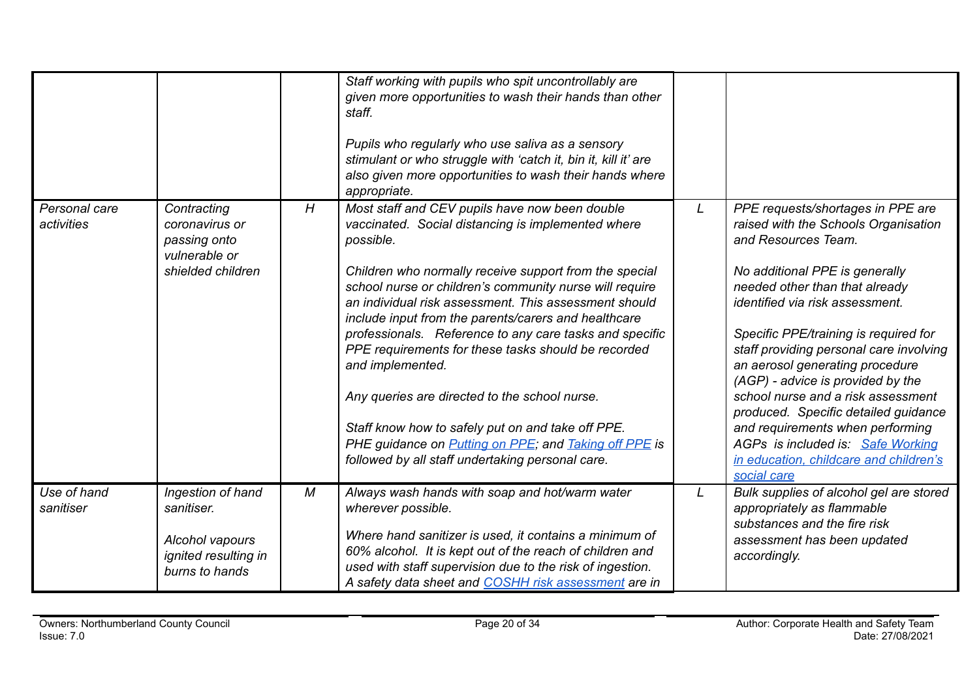|                             |                                                                                              |   | Staff working with pupils who spit uncontrollably are<br>given more opportunities to wash their hands than other<br>staff.<br>Pupils who regularly who use saliva as a sensory<br>stimulant or who struggle with 'catch it, bin it, kill it' are<br>also given more opportunities to wash their hands where<br>appropriate.                                                                                                                                                                                                                                                                                                                                                                                                     |   |                                                                                                                                                                                                                                                                                                                                                                                                                                                                                                                                                                                     |
|-----------------------------|----------------------------------------------------------------------------------------------|---|---------------------------------------------------------------------------------------------------------------------------------------------------------------------------------------------------------------------------------------------------------------------------------------------------------------------------------------------------------------------------------------------------------------------------------------------------------------------------------------------------------------------------------------------------------------------------------------------------------------------------------------------------------------------------------------------------------------------------------|---|-------------------------------------------------------------------------------------------------------------------------------------------------------------------------------------------------------------------------------------------------------------------------------------------------------------------------------------------------------------------------------------------------------------------------------------------------------------------------------------------------------------------------------------------------------------------------------------|
| Personal care<br>activities | Contracting<br>coronavirus or<br>passing onto<br>vulnerable or<br>shielded children          | H | Most staff and CEV pupils have now been double<br>vaccinated. Social distancing is implemented where<br>possible.<br>Children who normally receive support from the special<br>school nurse or children's community nurse will require<br>an individual risk assessment. This assessment should<br>include input from the parents/carers and healthcare<br>professionals. Reference to any care tasks and specific<br>PPE requirements for these tasks should be recorded<br>and implemented.<br>Any queries are directed to the school nurse.<br>Staff know how to safely put on and take off PPE.<br>PHE guidance on <b>Putting on PPE</b> ; and <b>Taking off PPE</b> is<br>followed by all staff undertaking personal care. | L | PPE requests/shortages in PPE are<br>raised with the Schools Organisation<br>and Resources Team.<br>No additional PPE is generally<br>needed other than that already<br>identified via risk assessment.<br>Specific PPE/training is required for<br>staff providing personal care involving<br>an aerosol generating procedure<br>(AGP) - advice is provided by the<br>school nurse and a risk assessment<br>produced. Specific detailed guidance<br>and requirements when performing<br>AGPs is included is: Safe Working<br>in education, childcare and children's<br>social care |
| Use of hand<br>sanitiser    | Ingestion of hand<br>sanitiser.<br>Alcohol vapours<br>ignited resulting in<br>burns to hands | M | Always wash hands with soap and hot/warm water<br>wherever possible.<br>Where hand sanitizer is used, it contains a minimum of<br>60% alcohol. It is kept out of the reach of children and<br>used with staff supervision due to the risk of ingestion.<br>A safety data sheet and COSHH risk assessment are in                                                                                                                                                                                                                                                                                                                                                                                                                 | L | Bulk supplies of alcohol gel are stored<br>appropriately as flammable<br>substances and the fire risk<br>assessment has been updated<br>accordingly.                                                                                                                                                                                                                                                                                                                                                                                                                                |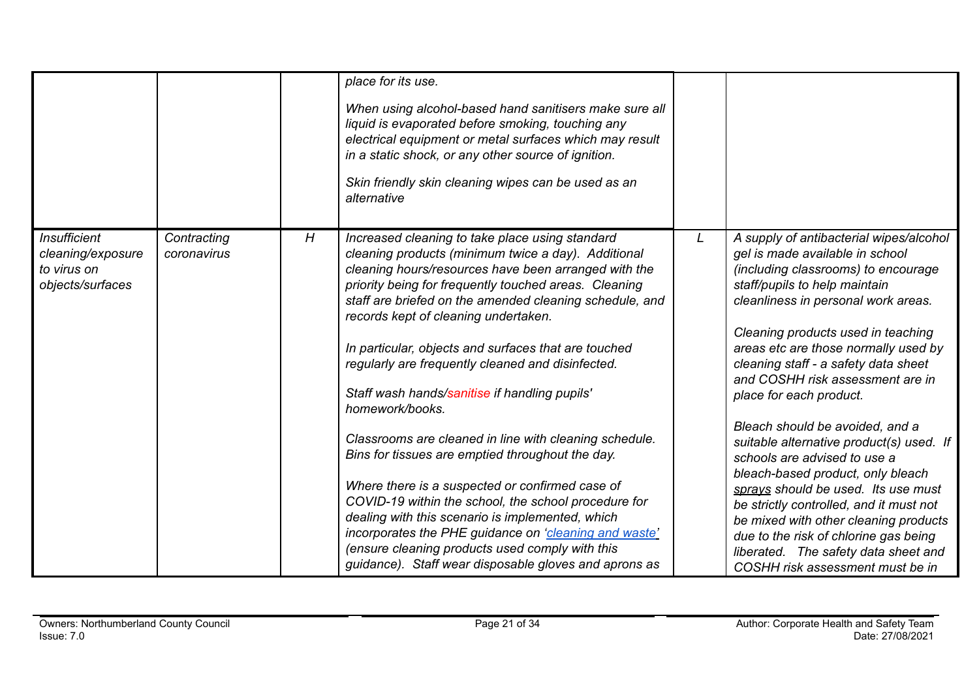|                                                                             |                            |   | place for its use.<br>When using alcohol-based hand sanitisers make sure all<br>liquid is evaporated before smoking, touching any<br>electrical equipment or metal surfaces which may result<br>in a static shock, or any other source of ignition.<br>Skin friendly skin cleaning wipes can be used as an<br>alternative                                                                                                                                                                |   |                                                                                                                                                                                                                                                                                                                                                                                                                             |
|-----------------------------------------------------------------------------|----------------------------|---|------------------------------------------------------------------------------------------------------------------------------------------------------------------------------------------------------------------------------------------------------------------------------------------------------------------------------------------------------------------------------------------------------------------------------------------------------------------------------------------|---|-----------------------------------------------------------------------------------------------------------------------------------------------------------------------------------------------------------------------------------------------------------------------------------------------------------------------------------------------------------------------------------------------------------------------------|
| <b>Insufficient</b><br>cleaning/exposure<br>to virus on<br>objects/surfaces | Contracting<br>coronavirus | H | Increased cleaning to take place using standard<br>cleaning products (minimum twice a day). Additional<br>cleaning hours/resources have been arranged with the<br>priority being for frequently touched areas. Cleaning<br>staff are briefed on the amended cleaning schedule, and<br>records kept of cleaning undertaken.<br>In particular, objects and surfaces that are touched<br>regularly are frequently cleaned and disinfected.<br>Staff wash hands/sanitise if handling pupils' | L | A supply of antibacterial wipes/alcohol<br>gel is made available in school<br>(including classrooms) to encourage<br>staff/pupils to help maintain<br>cleanliness in personal work areas.<br>Cleaning products used in teaching<br>areas etc are those normally used by<br>cleaning staff - a safety data sheet<br>and COSHH risk assessment are in                                                                         |
|                                                                             |                            |   | homework/books.<br>Classrooms are cleaned in line with cleaning schedule.<br>Bins for tissues are emptied throughout the day.<br>Where there is a suspected or confirmed case of<br>COVID-19 within the school, the school procedure for<br>dealing with this scenario is implemented, which<br>incorporates the PHE guidance on 'cleaning and waste'<br>(ensure cleaning products used comply with this<br>guidance). Staff wear disposable gloves and aprons as                        |   | place for each product.<br>Bleach should be avoided, and a<br>suitable alternative product(s) used. If<br>schools are advised to use a<br>bleach-based product, only bleach<br>sprays should be used. Its use must<br>be strictly controlled, and it must not<br>be mixed with other cleaning products<br>due to the risk of chlorine gas being<br>liberated. The safety data sheet and<br>COSHH risk assessment must be in |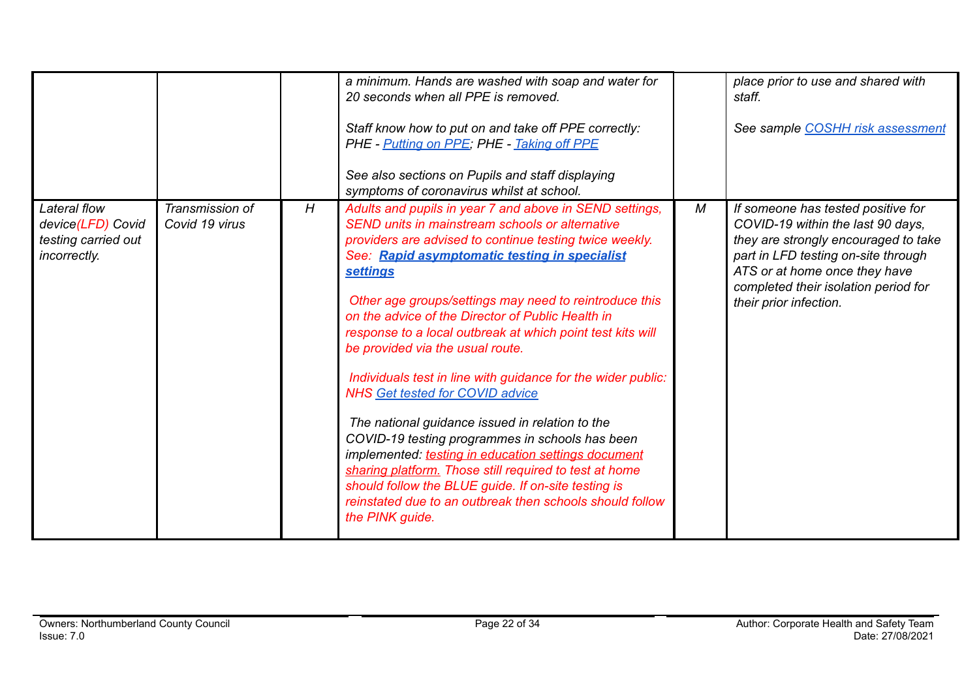|                                                                          |                                   |   | a minimum. Hands are washed with soap and water for<br>20 seconds when all PPE is removed.<br>Staff know how to put on and take off PPE correctly:<br>PHE - Putting on PPE; PHE - Taking off PPE<br>See also sections on Pupils and staff displaying<br>symptoms of coronavirus whilst at school.                                                                                                                                                                                                                                                                                                                                                                                                                                                                                                                                                                                                                                 |   | place prior to use and shared with<br>staff.<br>See sample COSHH risk assessment                                                                                                                                                                          |
|--------------------------------------------------------------------------|-----------------------------------|---|-----------------------------------------------------------------------------------------------------------------------------------------------------------------------------------------------------------------------------------------------------------------------------------------------------------------------------------------------------------------------------------------------------------------------------------------------------------------------------------------------------------------------------------------------------------------------------------------------------------------------------------------------------------------------------------------------------------------------------------------------------------------------------------------------------------------------------------------------------------------------------------------------------------------------------------|---|-----------------------------------------------------------------------------------------------------------------------------------------------------------------------------------------------------------------------------------------------------------|
| Lateral flow<br>device(LFD) Covid<br>testing carried out<br>incorrectly. | Transmission of<br>Covid 19 virus | H | Adults and pupils in year 7 and above in SEND settings,<br>SEND units in mainstream schools or alternative<br>providers are advised to continue testing twice weekly.<br>See: Rapid asymptomatic testing in specialist<br><b>settings</b><br>Other age groups/settings may need to reintroduce this<br>on the advice of the Director of Public Health in<br>response to a local outbreak at which point test kits will<br>be provided via the usual route.<br>Individuals test in line with guidance for the wider public:<br><b>NHS Get tested for COVID advice</b><br>The national guidance issued in relation to the<br>COVID-19 testing programmes in schools has been<br>implemented: testing in education settings document<br>sharing platform. Those still required to test at home<br>should follow the BLUE guide. If on-site testing is<br>reinstated due to an outbreak then schools should follow<br>the PINK guide. | М | If someone has tested positive for<br>COVID-19 within the last 90 days,<br>they are strongly encouraged to take<br>part in LFD testing on-site through<br>ATS or at home once they have<br>completed their isolation period for<br>their prior infection. |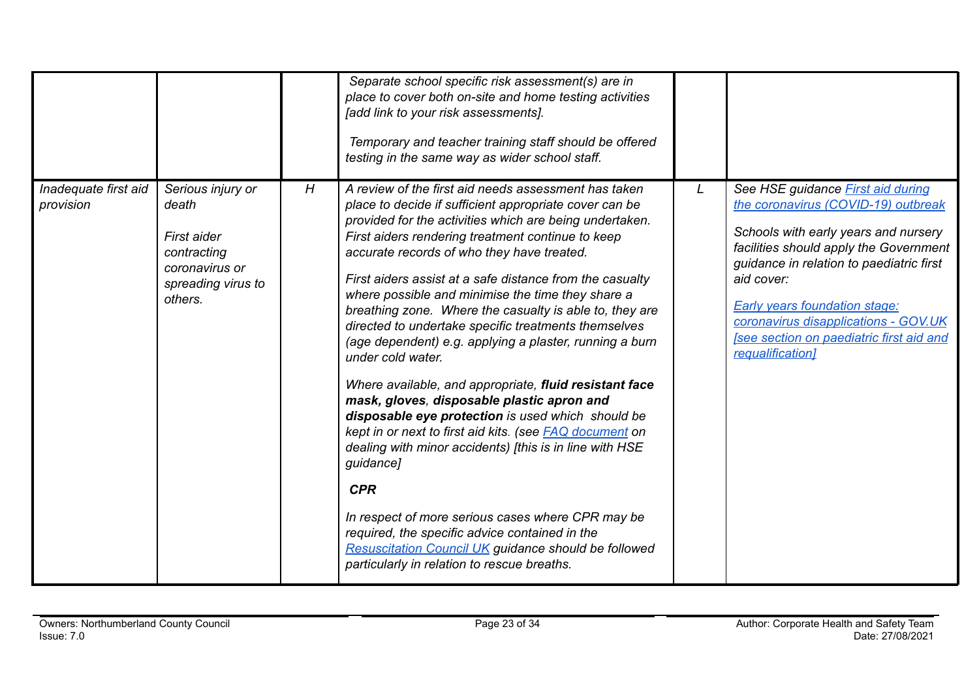|                                   |                                                                                                             |   | Separate school specific risk assessment(s) are in<br>place to cover both on-site and home testing activities<br>[add link to your risk assessments].<br>Temporary and teacher training staff should be offered<br>testing in the same way as wider school staff.                                                                                                                                                                                                                                                                                                                                                                                                                                                                                                                                                                                                                                                                                                                                                                                                                                                                   |   |                                                                                                                                                                                                                                                                                                                                                                             |
|-----------------------------------|-------------------------------------------------------------------------------------------------------------|---|-------------------------------------------------------------------------------------------------------------------------------------------------------------------------------------------------------------------------------------------------------------------------------------------------------------------------------------------------------------------------------------------------------------------------------------------------------------------------------------------------------------------------------------------------------------------------------------------------------------------------------------------------------------------------------------------------------------------------------------------------------------------------------------------------------------------------------------------------------------------------------------------------------------------------------------------------------------------------------------------------------------------------------------------------------------------------------------------------------------------------------------|---|-----------------------------------------------------------------------------------------------------------------------------------------------------------------------------------------------------------------------------------------------------------------------------------------------------------------------------------------------------------------------------|
| Inadequate first aid<br>provision | Serious injury or<br>death<br>First aider<br>contracting<br>coronavirus or<br>spreading virus to<br>others. | H | A review of the first aid needs assessment has taken<br>place to decide if sufficient appropriate cover can be<br>provided for the activities which are being undertaken.<br>First aiders rendering treatment continue to keep<br>accurate records of who they have treated.<br>First aiders assist at a safe distance from the casualty<br>where possible and minimise the time they share a<br>breathing zone. Where the casualty is able to, they are<br>directed to undertake specific treatments themselves<br>(age dependent) e.g. applying a plaster, running a burn<br>under cold water.<br>Where available, and appropriate, fluid resistant face<br>mask, gloves, disposable plastic apron and<br>disposable eye protection is used which should be<br>kept in or next to first aid kits. (see FAQ document on<br>dealing with minor accidents) [this is in line with HSE<br>guidance]<br><b>CPR</b><br>In respect of more serious cases where CPR may be<br>required, the specific advice contained in the<br><b>Resuscitation Council UK guidance should be followed</b><br>particularly in relation to rescue breaths. | L | See HSE guidance <b>First aid during</b><br>the coronavirus (COVID-19) outbreak<br>Schools with early years and nursery<br>facilities should apply the Government<br>guidance in relation to paediatric first<br>aid cover:<br><b>Early years foundation stage:</b><br>coronavirus disapplications - GOV.UK<br>[see section on paediatric first aid and<br>requalification] |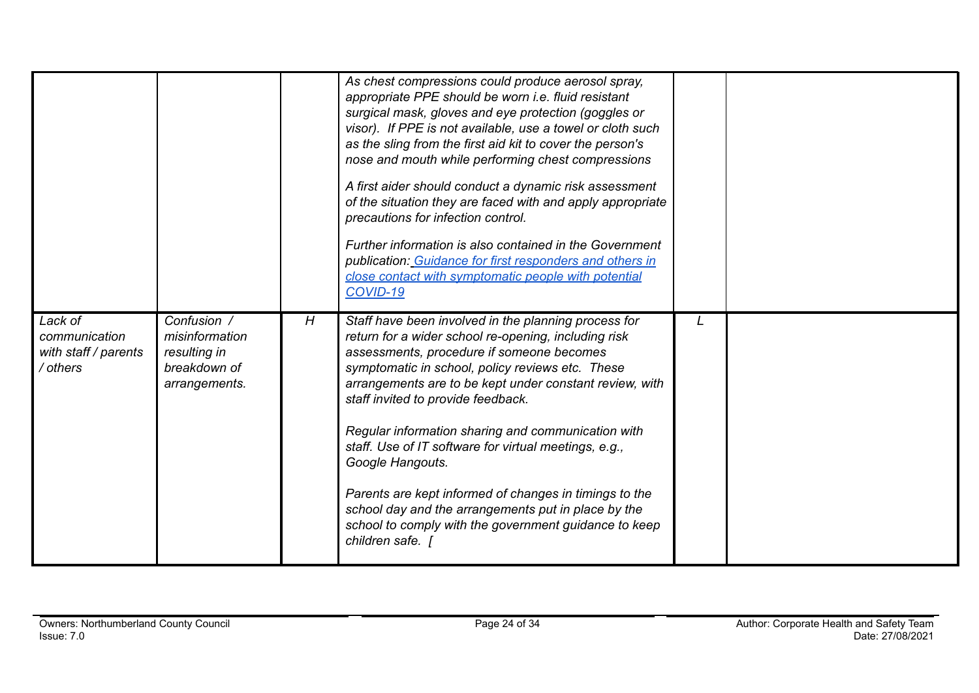|                                                              |                                                                                |   | As chest compressions could produce aerosol spray,<br>appropriate PPE should be worn i.e. fluid resistant<br>surgical mask, gloves and eye protection (goggles or<br>visor). If PPE is not available, use a towel or cloth such<br>as the sling from the first aid kit to cover the person's<br>nose and mouth while performing chest compressions<br>A first aider should conduct a dynamic risk assessment<br>of the situation they are faced with and apply appropriate<br>precautions for infection control.<br>Further information is also contained in the Government<br>publication: Guidance for first responders and others in<br>close contact with symptomatic people with potential<br>COVID-19 |   |  |
|--------------------------------------------------------------|--------------------------------------------------------------------------------|---|-------------------------------------------------------------------------------------------------------------------------------------------------------------------------------------------------------------------------------------------------------------------------------------------------------------------------------------------------------------------------------------------------------------------------------------------------------------------------------------------------------------------------------------------------------------------------------------------------------------------------------------------------------------------------------------------------------------|---|--|
| Lack of<br>communication<br>with staff / parents<br>/ others | Confusion /<br>misinformation<br>resulting in<br>breakdown of<br>arrangements. | H | Staff have been involved in the planning process for<br>return for a wider school re-opening, including risk<br>assessments, procedure if someone becomes<br>symptomatic in school, policy reviews etc. These<br>arrangements are to be kept under constant review, with<br>staff invited to provide feedback.<br>Regular information sharing and communication with<br>staff. Use of IT software for virtual meetings, e.g.,<br>Google Hangouts.<br>Parents are kept informed of changes in timings to the<br>school day and the arrangements put in place by the<br>school to comply with the government guidance to keep<br>children safe.                                                               | L |  |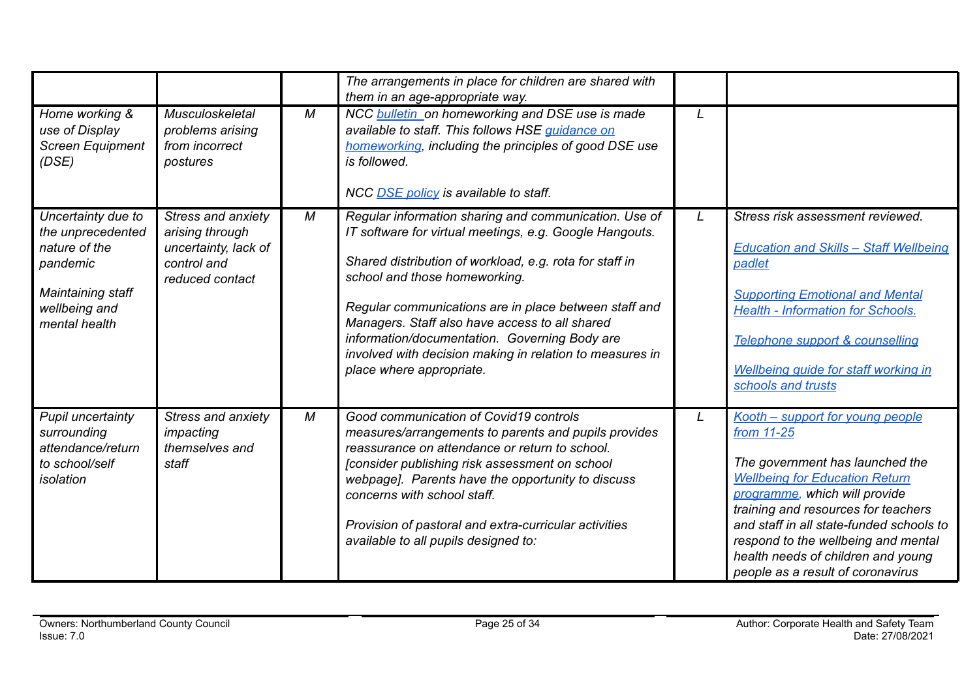|                                                                                                                             |                                                                                                 |   | The arrangements in place for children are shared with<br>them in an age-appropriate way.                                                                                                                                                                                                                                                                                                                                                                        |   |                                                                                                                                                                                                                                                                                                                                                                  |
|-----------------------------------------------------------------------------------------------------------------------------|-------------------------------------------------------------------------------------------------|---|------------------------------------------------------------------------------------------------------------------------------------------------------------------------------------------------------------------------------------------------------------------------------------------------------------------------------------------------------------------------------------------------------------------------------------------------------------------|---|------------------------------------------------------------------------------------------------------------------------------------------------------------------------------------------------------------------------------------------------------------------------------------------------------------------------------------------------------------------|
| Home working &<br>use of Display<br><b>Screen Equipment</b><br>(DSE)                                                        | Musculoskeletal<br>problems arising<br>from incorrect<br>postures                               | M | NCC <b>bulletin</b> on homeworking and DSE use is made<br>available to staff. This follows HSE guidance on<br>homeworking, including the principles of good DSE use<br>is followed.<br>NCC DSE policy is available to staff.                                                                                                                                                                                                                                     | L |                                                                                                                                                                                                                                                                                                                                                                  |
| Uncertainty due to<br>the unprecedented<br>nature of the<br>pandemic<br>Maintaining staff<br>wellbeing and<br>mental health | Stress and anxiety<br>arising through<br>uncertainty, lack of<br>control and<br>reduced contact | М | Regular information sharing and communication. Use of<br>IT software for virtual meetings, e.g. Google Hangouts.<br>Shared distribution of workload, e.g. rota for staff in<br>school and those homeworking.<br>Regular communications are in place between staff and<br>Managers. Staff also have access to all shared<br>information/documentation. Governing Body are<br>involved with decision making in relation to measures in<br>place where appropriate. | L | Stress risk assessment reviewed.<br><b>Education and Skills - Staff Wellbeing</b><br>padlet<br><b>Supporting Emotional and Mental</b><br><b>Health - Information for Schools.</b><br>Telephone support & counselling<br>Wellbeing guide for staff working in<br>schools and trusts                                                                               |
| Pupil uncertainty<br>surrounding<br>attendance/return<br>to school/self<br>isolation                                        | Stress and anxiety<br>impacting<br>themselves and<br>staff                                      | M | Good communication of Covid19 controls<br>measures/arrangements to parents and pupils provides<br>reassurance on attendance or return to school.<br>[consider publishing risk assessment on school<br>webpage]. Parents have the opportunity to discuss<br>concerns with school staff.<br>Provision of pastoral and extra-curricular activities<br>available to all pupils designed to:                                                                          | L | Kooth - support for young people<br>from 11-25<br>The government has launched the<br><b>Wellbeing for Education Return</b><br>programme, which will provide<br>training and resources for teachers<br>and staff in all state-funded schools to<br>respond to the wellbeing and mental<br>health needs of children and young<br>people as a result of coronavirus |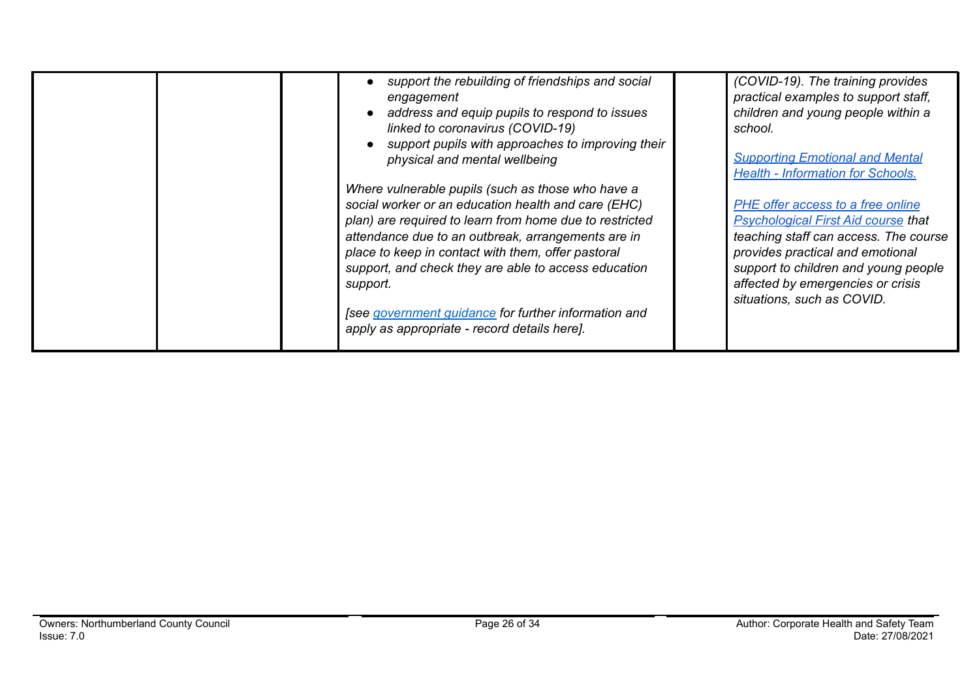| support the rebuilding of friendships and social<br>engagement<br>address and equip pupils to respond to issues<br>linked to coronavirus (COVID-19)<br>support pupils with approaches to improving their<br>physical and mental wellbeing<br>Where vulnerable pupils (such as those who have a<br>social worker or an education health and care (EHC)<br>plan) are required to learn from home due to restricted<br>attendance due to an outbreak, arrangements are in<br>place to keep in contact with them, offer pastoral<br>support, and check they are able to access education<br>support.<br>[see government quidance for further information and<br>apply as appropriate - record details here]. | (COVID-19). The training provides<br>practical examples to support staff,<br>children and young people within a<br>school.<br><b>Supporting Emotional and Mental</b><br><b>Health - Information for Schools.</b><br>PHE offer access to a free online<br><b>Psychological First Aid course that</b><br>teaching staff can access. The course<br>provides practical and emotional<br>support to children and young people<br>affected by emergencies or crisis<br>situations, such as COVID. |
|----------------------------------------------------------------------------------------------------------------------------------------------------------------------------------------------------------------------------------------------------------------------------------------------------------------------------------------------------------------------------------------------------------------------------------------------------------------------------------------------------------------------------------------------------------------------------------------------------------------------------------------------------------------------------------------------------------|---------------------------------------------------------------------------------------------------------------------------------------------------------------------------------------------------------------------------------------------------------------------------------------------------------------------------------------------------------------------------------------------------------------------------------------------------------------------------------------------|
|----------------------------------------------------------------------------------------------------------------------------------------------------------------------------------------------------------------------------------------------------------------------------------------------------------------------------------------------------------------------------------------------------------------------------------------------------------------------------------------------------------------------------------------------------------------------------------------------------------------------------------------------------------------------------------------------------------|---------------------------------------------------------------------------------------------------------------------------------------------------------------------------------------------------------------------------------------------------------------------------------------------------------------------------------------------------------------------------------------------------------------------------------------------------------------------------------------------|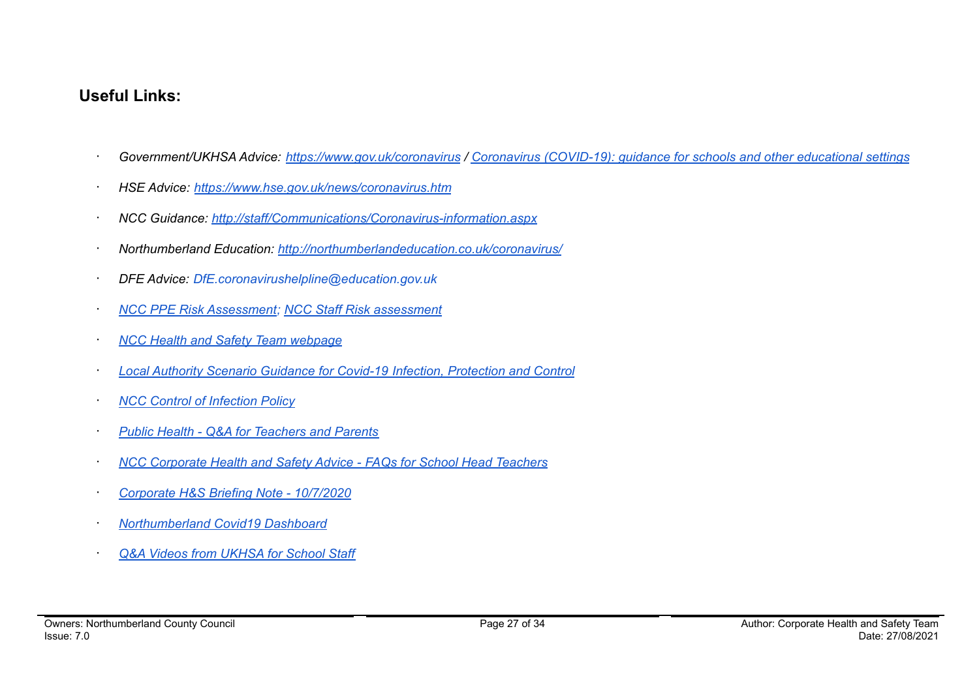## **Useful Links:**

- Government/UKHSA Advice: <https://www.gov.uk/coronavirus> / Coronavirus [\(COVID-19\):](https://www.gov.uk/government/collections/coronavirus-covid-19-guidance-for-schools-and-other-educational-settings) guidance for schools and other educational settings
- · *HSE Advice: <https://www.hse.gov.uk/news/coronavirus.htm>*
- · *NCC Guidance: <http://staff/Communications/Coronavirus-information.aspx>*
- · *Northumberland Education: <http://northumberlandeducation.co.uk/coronavirus/>*
- · *DFE Advice: DfE.coronavirushelpline@education.gov.uk*
- · *NCC PPE Risk [Assessment](https://drive.google.com/open?id=1sUlE_jdLkBZdI43kOR6mYCzaiKlTeRzGkODE3qshrr4); NCC Staff Risk [assessment](https://docs.google.com/document/d/1GFWU1_ox_k5SlXHhDfxdwa_gNnBlCM60NNhXjr7Kf40/edit)*
- · *NCC Health and Safety Team [webpage](https://www.northumberland.gov.uk/About/Staff.aspx#staffhealthsafety)*
- · *Local Authority Scenario Guidance for Covid-19 Infection, [Protection](https://docs.google.com/document/d/1v4ujp1l1zuF89TqDOED7T1kucMSPPyLnLQwor2CHq08/edit) and Control*
- · *NCC Control of [Infection](https://www.northumberland.gov.uk/NorthumberlandCountyCouncil/media/About-the-Council/Staff%20Information/Health%20and%20safety/Policy%20Documents%20and%20Guidance/Control-of-Infection-Policy-August-2013-HR-Policy.docx) Policy*
- · *Public Health - Q&A for [Teachers](https://drive.google.com/file/d/17XV-sP7aRNuW59JxoHV6YQzh62rm1wRZ/view?usp=sharing) and Parents*
- · *NCC [Corporate](https://northumberland365.sharepoint.com/:w:/s/StaffPortal/EZ8UvoW88aZCi74_cavsuuIBWlHIpnJFVMVn1mM_pulI3Q) Health and Safety Advice - FAQs for School Head Teachers*
- · *Corporate H&S Briefing Note - [10/7/2020](https://docs.google.com/document/d/1qs4cbslP43wLz5MsoDJZ7OCTo_1AyQq76kXIc_KYhls/edit)*
- · *[Northumberland](https://public.tableau.com/profile/julian5701#!/vizhome/COVID-19inNorthumberland/Introduction) Covid19 Dashboard*
- · *Q&A Videos from [UKHSA](https://northumberlandeducation.co.uk/qa-videos-to-help-school-staff-2/) for School Staff*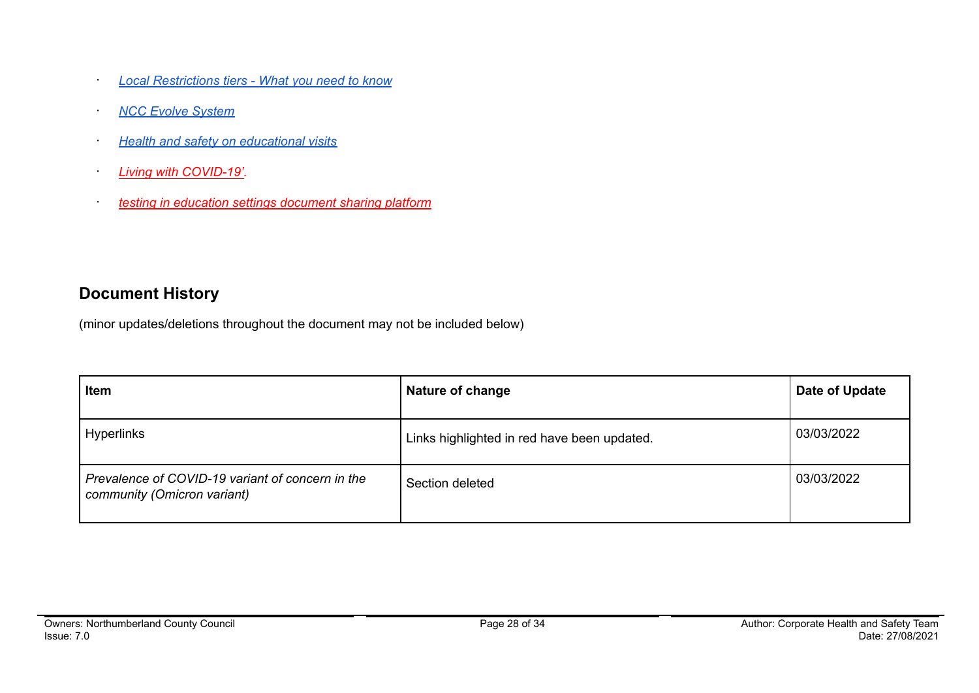- · *Local [Restrictions](https://www.gov.uk/guidance/local-restriction-tiers-what-you-need-to-know) tiers - What you need to know*
- · *NCC Evolve [System](https://evolve.edufocus.co.uk/evco10/evchome_public.asp?domain=northumberlandvisits.org.uk)*
- · *Health and safety on [educational](https://www.gov.uk/government/publications/health-and-safety-on-educational-visits/health-and-safety-on-educational-visits) visits*
- · *Living with [COVID-19'.](https://gbr01.safelinks.protection.outlook.com/?url=https%3A%2F%2Fwww.gov.uk%2Fgovernment%2Fpublications%2Fcovid-19-response-living-with-covid-19%3Futm_source%3D24%2520February%25202022%2520C19%26utm_medium%3DDaily%2520Email%2520C19%26utm_campaign%3DDfE%2520C19&data=04%7C01%7Camanda.young%40northumberland.gov.uk%7Cc9a58d3c39634196a28c08d9f7a7b703%7Cbb13a9de829042f0a980dc3bdfe70f40%7C0%7C0%7C637813121968899616%7CUnknown%7CTWFpbGZsb3d8eyJWIjoiMC4wLjAwMDAiLCJQIjoiV2luMzIiLCJBTiI6Ik1haWwiLCJXVCI6Mn0%3D%7C3000&sdata=rE6WYoaFvmXqgnu%2Fsr3mkg39qkFr0%2B1N1jmYpfck6oI%3D&reserved=0)*
- · *testing in education settings [document](https://gbr01.safelinks.protection.outlook.com/?url=https%3A%2F%2Fdrive.google.com%2Fdrive%2Ffolders%2F1euurg-X9V9fy-PAa3HAok_6Hf0rXmMCW&data=04%7C01%7Camanda.young%40northumberland.gov.uk%7Cc9a58d3c39634196a28c08d9f7a7b703%7Cbb13a9de829042f0a980dc3bdfe70f40%7C0%7C0%7C637813121968899616%7CUnknown%7CTWFpbGZsb3d8eyJWIjoiMC4wLjAwMDAiLCJQIjoiV2luMzIiLCJBTiI6Ik1haWwiLCJXVCI6Mn0%3D%7C3000&sdata=%2B9djTb1BVw9qkSJCE%2F8llcAYi%2F9uSeEDndi%2B3fjZXpI%3D&reserved=0) sharing platform*

## **Document History**

(minor updates/deletions throughout the document may not be included below)

| <b>Item</b>                                                                     | Nature of change                            | Date of Update |
|---------------------------------------------------------------------------------|---------------------------------------------|----------------|
| Hyperlinks                                                                      | Links highlighted in red have been updated. | 03/03/2022     |
| Prevalence of COVID-19 variant of concern in the<br>community (Omicron variant) | Section deleted                             | 03/03/2022     |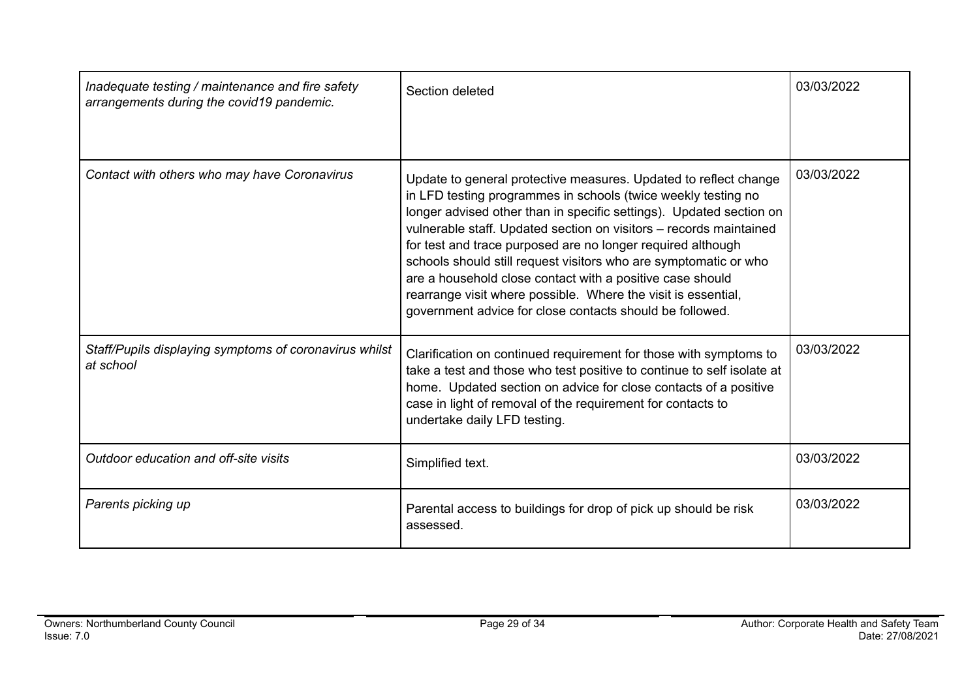| Inadequate testing / maintenance and fire safety<br>arrangements during the covid19 pandemic. | Section deleted                                                                                                                                                                                                                                                                                                                                                                                                                                                                                                                                                                                             | 03/03/2022 |
|-----------------------------------------------------------------------------------------------|-------------------------------------------------------------------------------------------------------------------------------------------------------------------------------------------------------------------------------------------------------------------------------------------------------------------------------------------------------------------------------------------------------------------------------------------------------------------------------------------------------------------------------------------------------------------------------------------------------------|------------|
| Contact with others who may have Coronavirus                                                  | Update to general protective measures. Updated to reflect change<br>in LFD testing programmes in schools (twice weekly testing no<br>longer advised other than in specific settings). Updated section on<br>vulnerable staff. Updated section on visitors - records maintained<br>for test and trace purposed are no longer required although<br>schools should still request visitors who are symptomatic or who<br>are a household close contact with a positive case should<br>rearrange visit where possible. Where the visit is essential,<br>government advice for close contacts should be followed. | 03/03/2022 |
| Staff/Pupils displaying symptoms of coronavirus whilst<br>at school                           | Clarification on continued requirement for those with symptoms to<br>take a test and those who test positive to continue to self isolate at<br>home. Updated section on advice for close contacts of a positive<br>case in light of removal of the requirement for contacts to<br>undertake daily LFD testing.                                                                                                                                                                                                                                                                                              | 03/03/2022 |
| Outdoor education and off-site visits                                                         | Simplified text.                                                                                                                                                                                                                                                                                                                                                                                                                                                                                                                                                                                            | 03/03/2022 |
| Parents picking up                                                                            | Parental access to buildings for drop of pick up should be risk<br>assessed.                                                                                                                                                                                                                                                                                                                                                                                                                                                                                                                                | 03/03/2022 |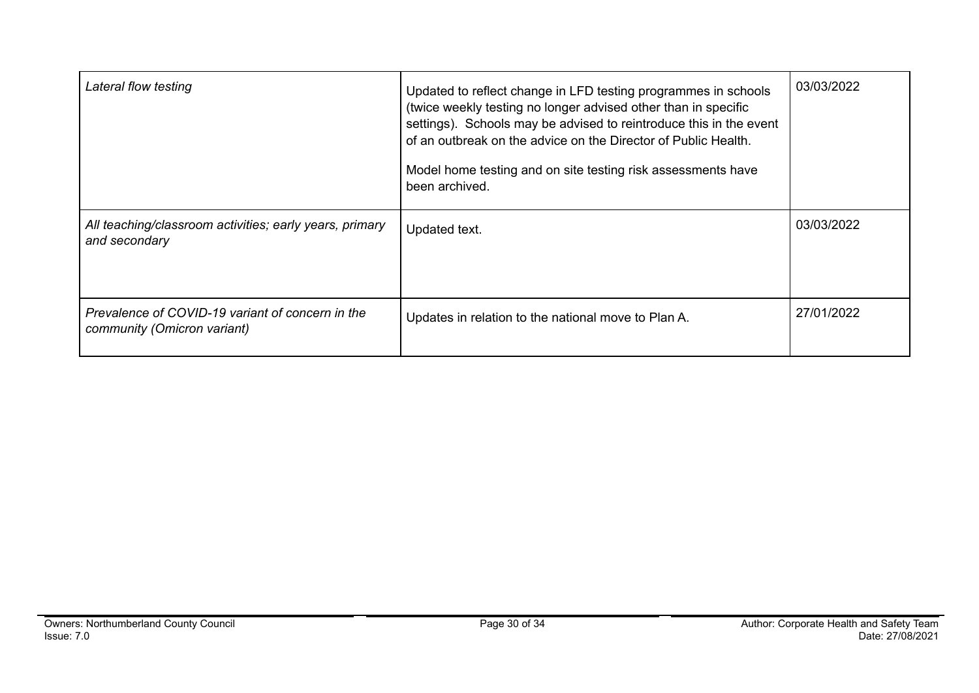| Lateral flow testing                                                            | Updated to reflect change in LFD testing programmes in schools<br>(twice weekly testing no longer advised other than in specific<br>settings). Schools may be advised to reintroduce this in the event<br>of an outbreak on the advice on the Director of Public Health.<br>Model home testing and on site testing risk assessments have<br>been archived. | 03/03/2022 |
|---------------------------------------------------------------------------------|------------------------------------------------------------------------------------------------------------------------------------------------------------------------------------------------------------------------------------------------------------------------------------------------------------------------------------------------------------|------------|
| All teaching/classroom activities; early years, primary<br>and secondary        | Updated text.                                                                                                                                                                                                                                                                                                                                              | 03/03/2022 |
| Prevalence of COVID-19 variant of concern in the<br>community (Omicron variant) | Updates in relation to the national move to Plan A.                                                                                                                                                                                                                                                                                                        | 27/01/2022 |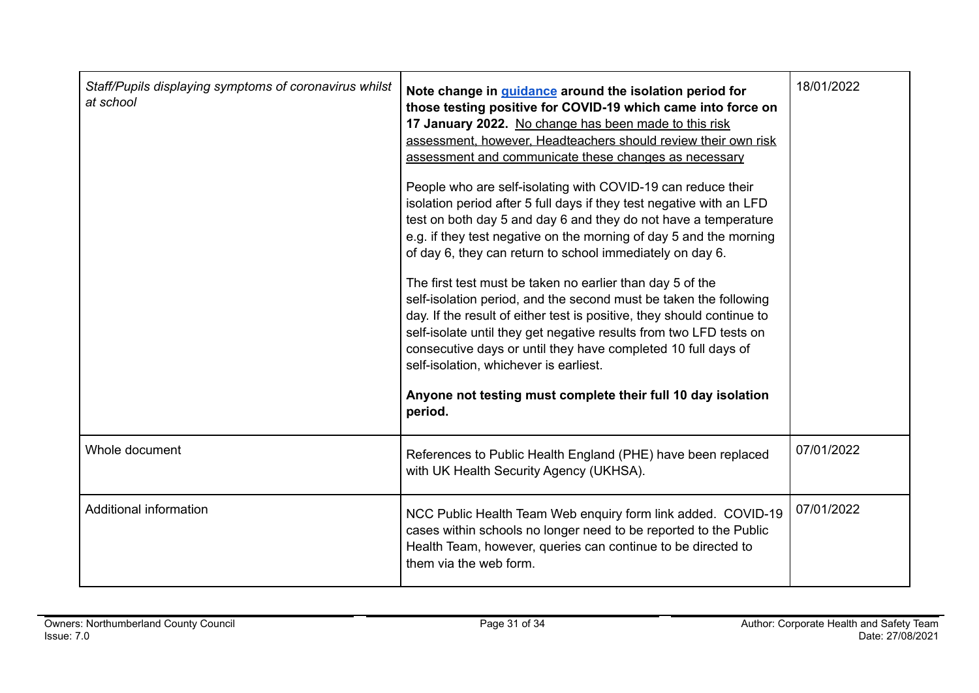| Staff/Pupils displaying symptoms of coronavirus whilst<br>at school | Note change in guidance around the isolation period for<br>those testing positive for COVID-19 which came into force on<br>17 January 2022. No change has been made to this risk<br>assessment, however, Headteachers should review their own risk<br>assessment and communicate these changes as necessary<br>People who are self-isolating with COVID-19 can reduce their<br>isolation period after 5 full days if they test negative with an LFD<br>test on both day 5 and day 6 and they do not have a temperature<br>e.g. if they test negative on the morning of day 5 and the morning<br>of day 6, they can return to school immediately on day 6.<br>The first test must be taken no earlier than day 5 of the<br>self-isolation period, and the second must be taken the following<br>day. If the result of either test is positive, they should continue to<br>self-isolate until they get negative results from two LFD tests on<br>consecutive days or until they have completed 10 full days of<br>self-isolation, whichever is earliest.<br>Anyone not testing must complete their full 10 day isolation<br>period. | 18/01/2022 |
|---------------------------------------------------------------------|-----------------------------------------------------------------------------------------------------------------------------------------------------------------------------------------------------------------------------------------------------------------------------------------------------------------------------------------------------------------------------------------------------------------------------------------------------------------------------------------------------------------------------------------------------------------------------------------------------------------------------------------------------------------------------------------------------------------------------------------------------------------------------------------------------------------------------------------------------------------------------------------------------------------------------------------------------------------------------------------------------------------------------------------------------------------------------------------------------------------------------------|------------|
| Whole document                                                      | References to Public Health England (PHE) have been replaced<br>with UK Health Security Agency (UKHSA).                                                                                                                                                                                                                                                                                                                                                                                                                                                                                                                                                                                                                                                                                                                                                                                                                                                                                                                                                                                                                           | 07/01/2022 |
| Additional information                                              | NCC Public Health Team Web enquiry form link added. COVID-19<br>cases within schools no longer need to be reported to the Public<br>Health Team, however, queries can continue to be directed to<br>them via the web form.                                                                                                                                                                                                                                                                                                                                                                                                                                                                                                                                                                                                                                                                                                                                                                                                                                                                                                        | 07/01/2022 |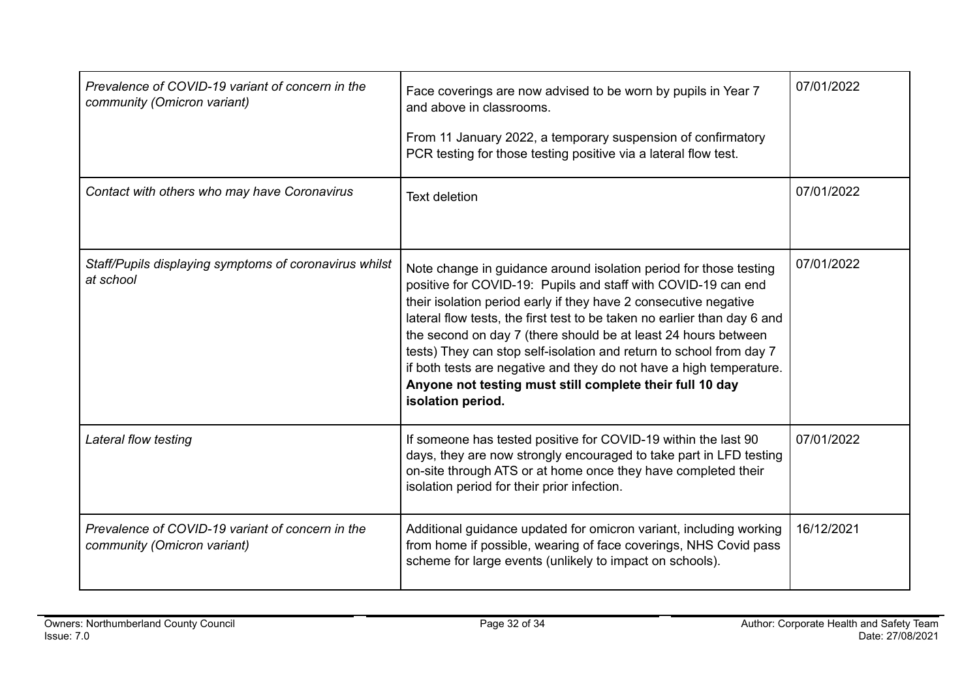| Prevalence of COVID-19 variant of concern in the<br>community (Omicron variant) | Face coverings are now advised to be worn by pupils in Year 7<br>and above in classrooms.<br>From 11 January 2022, a temporary suspension of confirmatory<br>PCR testing for those testing positive via a lateral flow test.                                                                                                                                                                                                                                                                                                                                                        | 07/01/2022 |
|---------------------------------------------------------------------------------|-------------------------------------------------------------------------------------------------------------------------------------------------------------------------------------------------------------------------------------------------------------------------------------------------------------------------------------------------------------------------------------------------------------------------------------------------------------------------------------------------------------------------------------------------------------------------------------|------------|
| Contact with others who may have Coronavirus                                    | <b>Text deletion</b>                                                                                                                                                                                                                                                                                                                                                                                                                                                                                                                                                                | 07/01/2022 |
| Staff/Pupils displaying symptoms of coronavirus whilst<br>at school             | Note change in guidance around isolation period for those testing<br>positive for COVID-19: Pupils and staff with COVID-19 can end<br>their isolation period early if they have 2 consecutive negative<br>lateral flow tests, the first test to be taken no earlier than day 6 and<br>the second on day 7 (there should be at least 24 hours between<br>tests) They can stop self-isolation and return to school from day 7<br>if both tests are negative and they do not have a high temperature.<br>Anyone not testing must still complete their full 10 day<br>isolation period. | 07/01/2022 |
| Lateral flow testing                                                            | If someone has tested positive for COVID-19 within the last 90<br>days, they are now strongly encouraged to take part in LFD testing<br>on-site through ATS or at home once they have completed their<br>isolation period for their prior infection.                                                                                                                                                                                                                                                                                                                                | 07/01/2022 |
| Prevalence of COVID-19 variant of concern in the<br>community (Omicron variant) | Additional guidance updated for omicron variant, including working<br>from home if possible, wearing of face coverings, NHS Covid pass<br>scheme for large events (unlikely to impact on schools).                                                                                                                                                                                                                                                                                                                                                                                  | 16/12/2021 |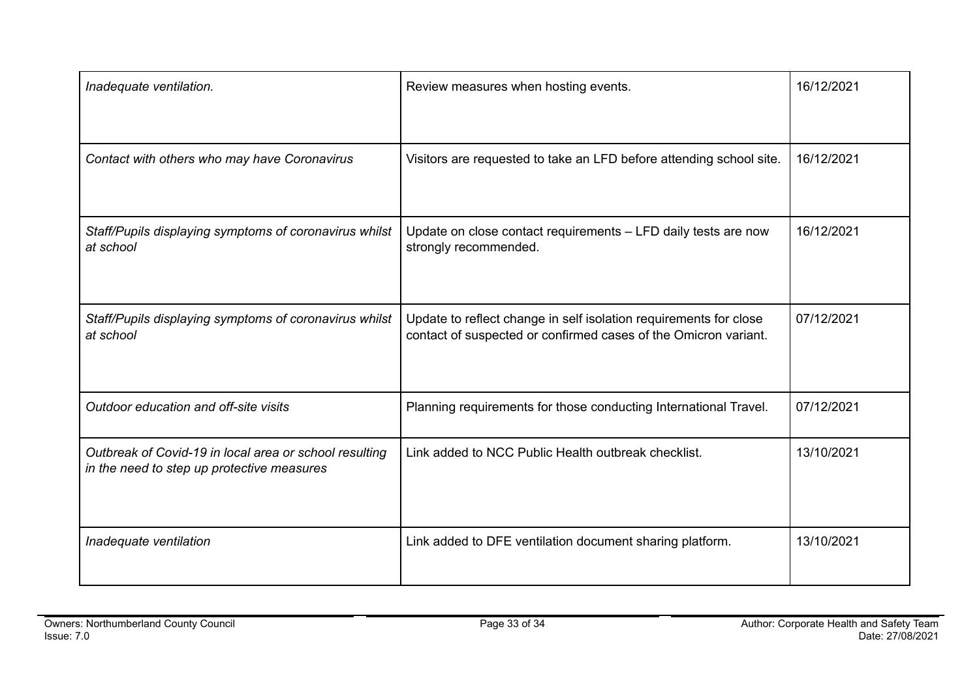| Inadequate ventilation.                                                                              | Review measures when hosting events.                                                                                                 | 16/12/2021 |
|------------------------------------------------------------------------------------------------------|--------------------------------------------------------------------------------------------------------------------------------------|------------|
| Contact with others who may have Coronavirus                                                         | Visitors are requested to take an LFD before attending school site.                                                                  | 16/12/2021 |
| Staff/Pupils displaying symptoms of coronavirus whilst<br>at school                                  | Update on close contact requirements - LFD daily tests are now<br>strongly recommended.                                              | 16/12/2021 |
| Staff/Pupils displaying symptoms of coronavirus whilst<br>at school                                  | Update to reflect change in self isolation requirements for close<br>contact of suspected or confirmed cases of the Omicron variant. | 07/12/2021 |
| Outdoor education and off-site visits                                                                | Planning requirements for those conducting International Travel.                                                                     | 07/12/2021 |
| Outbreak of Covid-19 in local area or school resulting<br>in the need to step up protective measures | Link added to NCC Public Health outbreak checklist.                                                                                  | 13/10/2021 |
| Inadequate ventilation                                                                               | Link added to DFE ventilation document sharing platform.                                                                             | 13/10/2021 |